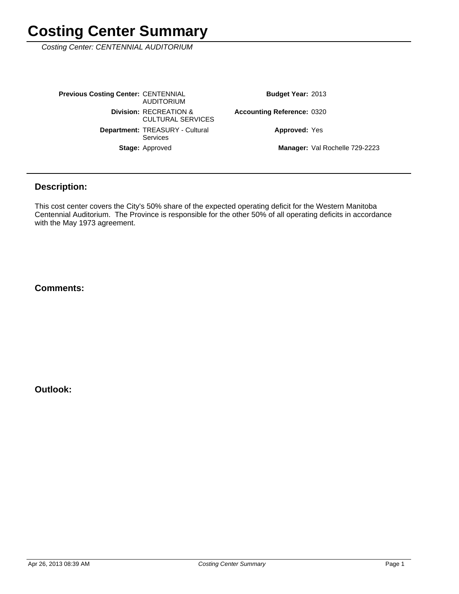Costing Center: CENTENNIAL AUDITORIUM

Stage: Approved Department: TREASURY - Cultural Services **Division: RECREATION &** CULTURAL SERVICES **Previous Costing Center: CENTENNIAL** AUDITORIUM

Budget Year: 2013

0320 **Accounting Reference:**

**Approved: Yes** 

Manager: Val Rochelle 729-2223

#### **Description:**

This cost center covers the City's 50% share of the expected operating deficit for the Western Manitoba Centennial Auditorium. The Province is responsible for the other 50% of all operating deficits in accordance with the May 1973 agreement.

#### **Comments:**

**Outlook:**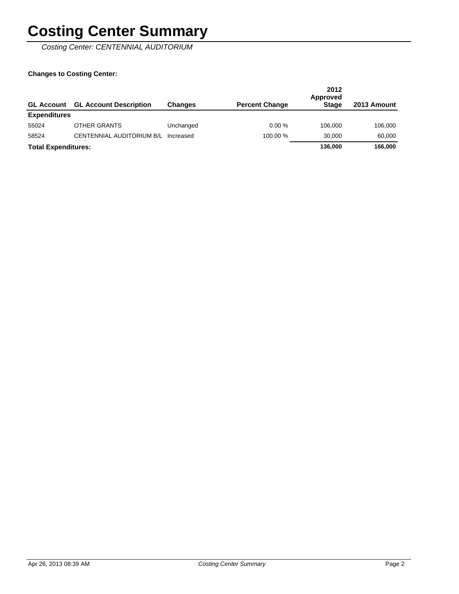Costing Center: CENTENNIAL AUDITORIUM

| <b>GL Account</b>          | <b>GL Account Description</b> | <b>Changes</b> | <b>Percent Change</b> | 2012<br>Approved<br><b>Stage</b> | 2013 Amount |
|----------------------------|-------------------------------|----------------|-----------------------|----------------------------------|-------------|
| <b>Expenditures</b>        |                               |                |                       |                                  |             |
| 55024                      | <b>OTHER GRANTS</b>           | Unchanged      | 0.00%                 | 106.000                          | 106,000     |
| 58524                      | CENTENNIAL AUDITORIUM B/L     | Increased      | 100.00 %              | 30.000                           | 60.000      |
| <b>Total Expenditures:</b> |                               |                |                       | 136,000                          | 166,000     |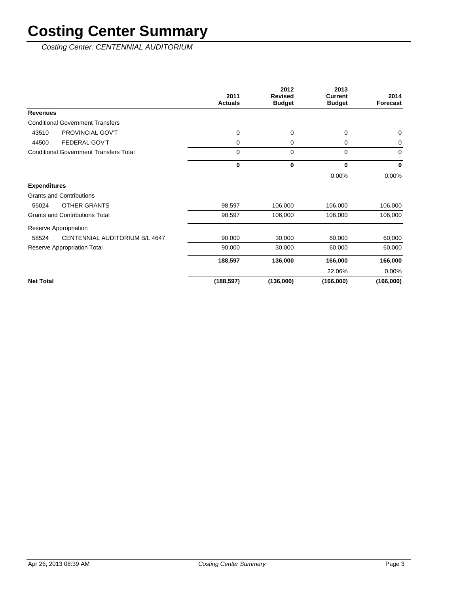Costing Center: CENTENNIAL AUDITORIUM

|                                               | 2011<br><b>Actuals</b> | 2012<br><b>Revised</b><br><b>Budget</b> | 2013<br><b>Current</b><br><b>Budget</b> | 2014<br>Forecast |
|-----------------------------------------------|------------------------|-----------------------------------------|-----------------------------------------|------------------|
| <b>Revenues</b>                               |                        |                                         |                                         |                  |
| <b>Conditional Government Transfers</b>       |                        |                                         |                                         |                  |
| PROVINCIAL GOV'T<br>43510                     | 0                      | 0                                       | 0                                       | $\mathbf 0$      |
| <b>FEDERAL GOV'T</b><br>44500                 | 0                      | 0                                       | 0                                       | 0                |
| <b>Conditional Government Transfers Total</b> | $\Omega$               | $\mathbf 0$                             | 0                                       | $\Omega$         |
|                                               | $\mathbf 0$            | $\bf{0}$                                | 0                                       | $\mathbf{0}$     |
|                                               |                        |                                         | 0.00%                                   | 0.00%            |
| <b>Expenditures</b>                           |                        |                                         |                                         |                  |
| <b>Grants and Contributions</b>               |                        |                                         |                                         |                  |
| <b>OTHER GRANTS</b><br>55024                  | 98,597                 | 106,000                                 | 106,000                                 | 106,000          |
| <b>Grants and Contributions Total</b>         | 98,597                 | 106,000                                 | 106,000                                 | 106,000          |
| Reserve Appropriation                         |                        |                                         |                                         |                  |
| CENTENNIAL AUDITORIUM B/L 4647<br>58524       | 90,000                 | 30,000                                  | 60,000                                  | 60,000           |
| Reserve Appropriation Total                   | 90,000                 | 30,000                                  | 60,000                                  | 60,000           |
|                                               | 188,597                | 136,000                                 | 166,000                                 | 166,000          |
|                                               |                        |                                         | 22.06%                                  | 0.00%            |
| <b>Net Total</b>                              | (188, 597)             | (136,000)                               | (166,000)                               | (166,000)        |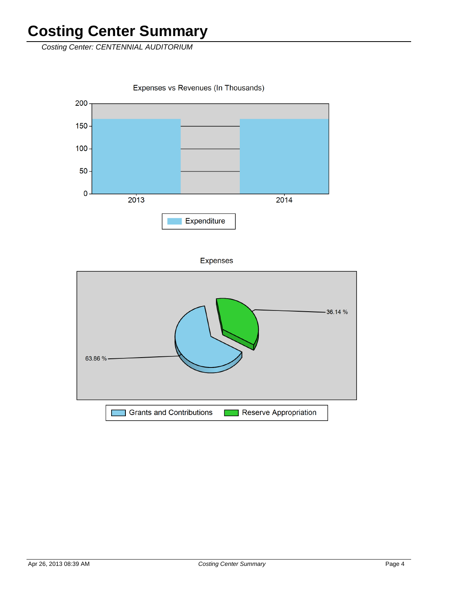Costing Center: CENTENNIAL AUDITORIUM

Expenses vs Revenues (In Thousands)



**Expenses** 

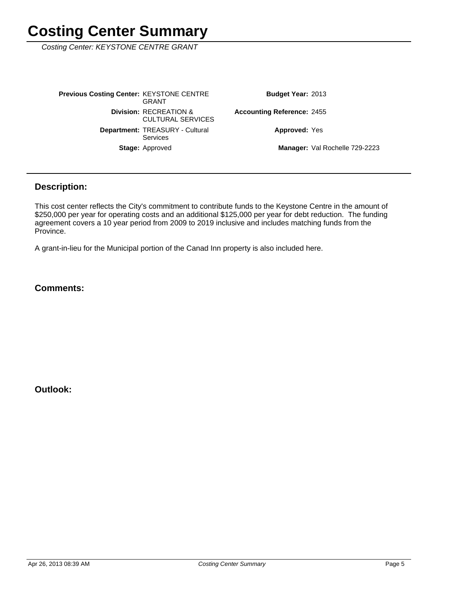Costing Center: KEYSTONE CENTRE GRANT

Manager: Val Rochelle 729-2223 **Approved: Yes** Accounting Reference: 2455 Budget Year: 2013 Stage: Approved Department: TREASURY - Cultural Services **Division: RECREATION &** CULTURAL SERVICES **Previous Costing Center: KEYSTONE CENTRE** GRANT

#### **Description:**

This cost center reflects the City's commitment to contribute funds to the Keystone Centre in the amount of \$250,000 per year for operating costs and an additional \$125,000 per year for debt reduction. The funding agreement covers a 10 year period from 2009 to 2019 inclusive and includes matching funds from the Province.

A grant-in-lieu for the Municipal portion of the Canad Inn property is also included here.

#### **Comments:**

**Outlook:**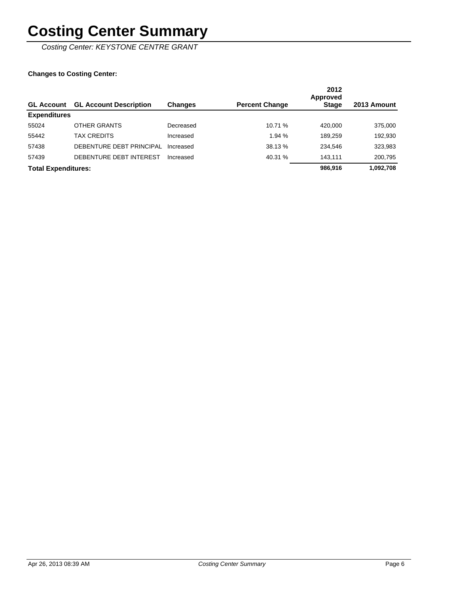Costing Center: KEYSTONE CENTRE GRANT

| <b>GL Account</b>          | <b>GL Account Description</b> | <b>Changes</b> | <b>Percent Change</b> | 2012<br>Approved<br><b>Stage</b> | 2013 Amount |
|----------------------------|-------------------------------|----------------|-----------------------|----------------------------------|-------------|
| <b>Expenditures</b>        |                               |                |                       |                                  |             |
| 55024                      | OTHER GRANTS                  | Decreased      | 10.71 %               | 420.000                          | 375,000     |
| 55442                      | TAX CREDITS                   | Increased      | 1.94 %                | 189.259                          | 192,930     |
| 57438                      | DEBENTURE DEBT PRINCIPAL      | Increased      | 38.13 %               | 234.546                          | 323,983     |
| 57439                      | DEBENTURE DEBT INTEREST       | Increased      | 40.31 %               | 143.111                          | 200,795     |
| <b>Total Expenditures:</b> |                               |                |                       | 986.916                          | 1,092,708   |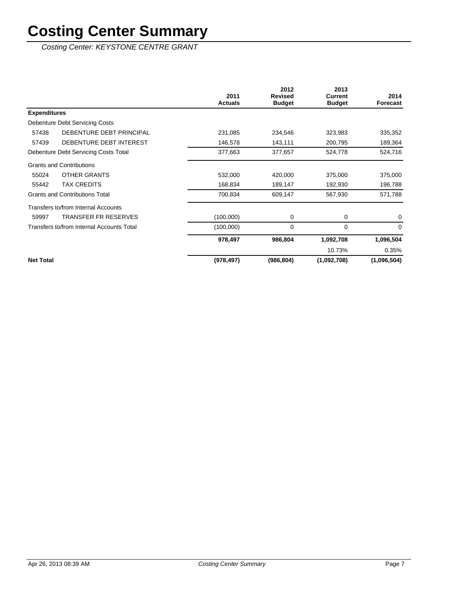Costing Center: KEYSTONE CENTRE GRANT

|                                           | 2011           | 2012<br><b>Revised</b> | 2013<br><b>Current</b> | 2014        |
|-------------------------------------------|----------------|------------------------|------------------------|-------------|
|                                           | <b>Actuals</b> | <b>Budget</b>          | <b>Budget</b>          | Forecast    |
| <b>Expenditures</b>                       |                |                        |                        |             |
| Debenture Debt Servicing Costs            |                |                        |                        |             |
| 57438<br>DEBENTURE DEBT PRINCIPAL         | 231,085        | 234,546                | 323,983                | 335,352     |
| DEBENTURE DEBT INTEREST<br>57439          | 146,578        | 143,111                | 200,795                | 189,364     |
| Debenture Debt Servicing Costs Total      | 377,663        | 377,657                | 524,778                | 524,716     |
| <b>Grants and Contributions</b>           |                |                        |                        |             |
| <b>OTHER GRANTS</b><br>55024              | 532,000        | 420,000                | 375,000                | 375,000     |
| <b>TAX CREDITS</b><br>55442               | 168,834        | 189,147                | 192,930                | 196,788     |
| <b>Grants and Contributions Total</b>     | 700,834        | 609,147                | 567,930                | 571,788     |
| Transfers to/from Internal Accounts       |                |                        |                        |             |
| 59997<br><b>TRANSFER FR RESERVES</b>      | (100,000)      | 0                      | 0                      | 0           |
| Transfers to/from Internal Accounts Total | (100,000)      | $\mathbf 0$            | 0                      | $\Omega$    |
|                                           | 978,497        | 986,804                | 1,092,708              | 1,096,504   |
|                                           |                |                        | 10.73%                 | 0.35%       |
| <b>Net Total</b>                          | (978, 497)     | (986, 804)             | (1,092,708)            | (1,096,504) |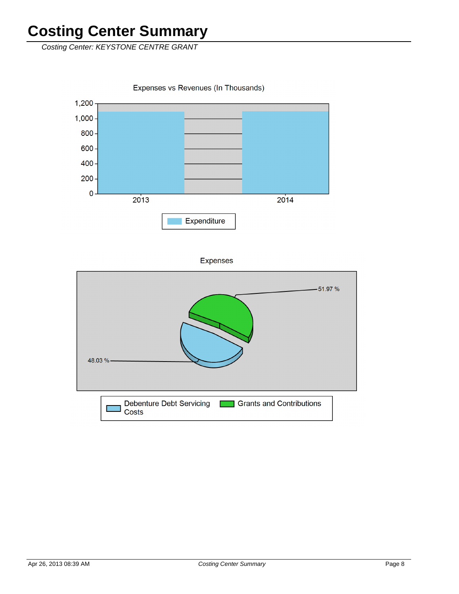Costing Center: KEYSTONE CENTRE GRANT

Expenses vs Revenues (In Thousands)



**Expenses** 

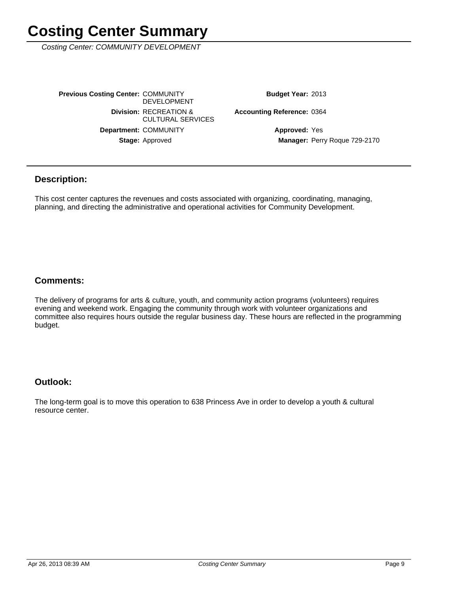Costing Center: COMMUNITY DEVELOPMENT

Stage: Approved Department: COMMUNITY **Division: RECREATION &** CULTURAL SERVICES **Previous Costing Center: COMMUNITY** DEVELOPMENT

Budget Year: 2013

Accounting Reference: 0364

Manager: Perry Roque 729-2170 **Approved: Yes** 

#### **Description:**

This cost center captures the revenues and costs associated with organizing, coordinating, managing, planning, and directing the administrative and operational activities for Community Development.

#### **Comments:**

The delivery of programs for arts & culture, youth, and community action programs (volunteers) requires evening and weekend work. Engaging the community through work with volunteer organizations and committee also requires hours outside the regular business day. These hours are reflected in the programming budget.

#### **Outlook:**

The long-term goal is to move this operation to 638 Princess Ave in order to develop a youth & cultural resource center.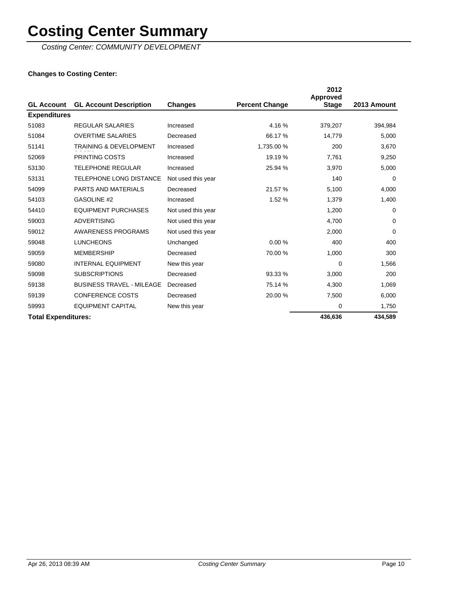Costing Center: COMMUNITY DEVELOPMENT

| <b>GL Account</b>          | <b>GL Account Description</b>     | <b>Changes</b>     | <b>Percent Change</b> | 2012<br><b>Approved</b><br><b>Stage</b> | 2013 Amount |
|----------------------------|-----------------------------------|--------------------|-----------------------|-----------------------------------------|-------------|
| <b>Expenditures</b>        |                                   |                    |                       |                                         |             |
| 51083                      | <b>REGULAR SALARIES</b>           | Increased          | 4.16%                 | 379,207                                 | 394,984     |
| 51084                      | <b>OVERTIME SALARIES</b>          | Decreased          | 66.17 %               | 14,779                                  | 5,000       |
| 51141                      | <b>TRAINING &amp; DEVELOPMENT</b> | Increased          | 1,735.00 %            | 200                                     | 3,670       |
| 52069                      | <b>PRINTING COSTS</b>             | Increased          | 19.19 %               | 7,761                                   | 9,250       |
| 53130                      | <b>TELEPHONE REGULAR</b>          | Increased          | 25.94 %               | 3,970                                   | 5,000       |
| 53131                      | <b>TELEPHONE LONG DISTANCE</b>    | Not used this year |                       | 140                                     | $\Omega$    |
| 54099                      | <b>PARTS AND MATERIALS</b>        | Decreased          | 21.57 %               | 5,100                                   | 4,000       |
| 54103                      | GASOLINE #2                       | Increased          | 1.52%                 | 1,379                                   | 1,400       |
| 54410                      | <b>EQUIPMENT PURCHASES</b>        | Not used this year |                       | 1,200                                   | $\Omega$    |
| 59003                      | <b>ADVERTISING</b>                | Not used this year |                       | 4,700                                   | $\Omega$    |
| 59012                      | AWARENESS PROGRAMS                | Not used this year |                       | 2,000                                   | $\Omega$    |
| 59048                      | <b>LUNCHEONS</b>                  | Unchanged          | 0.00%                 | 400                                     | 400         |
| 59059                      | <b>MEMBERSHIP</b>                 | Decreased          | 70.00 %               | 1,000                                   | 300         |
| 59080                      | <b>INTERNAL EQUIPMENT</b>         | New this year      |                       | $\Omega$                                | 1,566       |
| 59098                      | <b>SUBSCRIPTIONS</b>              | Decreased          | 93.33 %               | 3,000                                   | 200         |
| 59138                      | <b>BUSINESS TRAVEL - MILEAGE</b>  | Decreased          | 75.14 %               | 4,300                                   | 1,069       |
| 59139                      | <b>CONFERENCE COSTS</b>           | Decreased          | 20.00 %               | 7,500                                   | 6,000       |
| 59993                      | <b>EQUIPMENT CAPITAL</b>          | New this year      |                       | 0                                       | 1,750       |
| <b>Total Expenditures:</b> |                                   |                    |                       | 436,636                                 | 434,589     |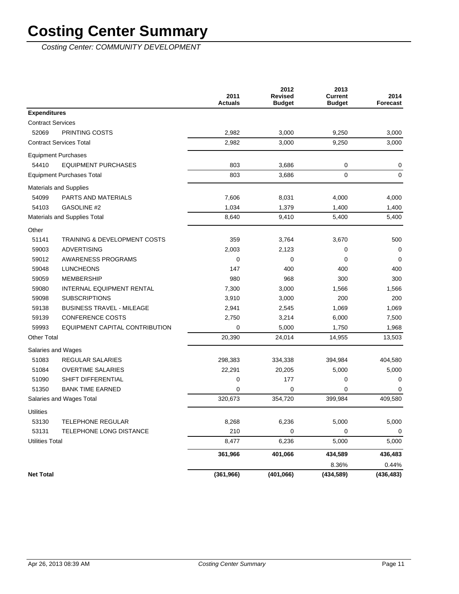Costing Center: COMMUNITY DEVELOPMENT

|                          |                                         | 2011<br><b>Actuals</b> | 2012<br><b>Revised</b><br><b>Budget</b> | 2013<br><b>Current</b><br><b>Budget</b> | 2014<br><b>Forecast</b> |
|--------------------------|-----------------------------------------|------------------------|-----------------------------------------|-----------------------------------------|-------------------------|
| <b>Expenditures</b>      |                                         |                        |                                         |                                         |                         |
| <b>Contract Services</b> |                                         |                        |                                         |                                         |                         |
| 52069                    | PRINTING COSTS                          | 2,982                  | 3,000                                   | 9,250                                   | 3,000                   |
|                          | <b>Contract Services Total</b>          | 2,982                  | 3,000                                   | 9,250                                   | 3,000                   |
|                          | <b>Equipment Purchases</b>              |                        |                                         |                                         |                         |
| 54410                    | <b>EQUIPMENT PURCHASES</b>              | 803                    | 3,686                                   | 0                                       | 0                       |
|                          | <b>Equipment Purchases Total</b>        | 803                    | 3,686                                   | 0                                       | 0                       |
|                          | <b>Materials and Supplies</b>           |                        |                                         |                                         |                         |
| 54099                    | PARTS AND MATERIALS                     | 7,606                  | 8,031                                   | 4,000                                   | 4,000                   |
| 54103                    | GASOLINE #2                             | 1,034                  | 1,379                                   | 1,400                                   | 1,400                   |
|                          | Materials and Supplies Total            | 8,640                  | 9,410                                   | 5,400                                   | 5,400                   |
| Other                    |                                         |                        |                                         |                                         |                         |
| 51141                    | <b>TRAINING &amp; DEVELOPMENT COSTS</b> | 359                    | 3,764                                   | 3,670                                   | 500                     |
| 59003                    | <b>ADVERTISING</b>                      | 2,003                  | 2,123                                   | 0                                       | $\mathbf 0$             |
| 59012                    | <b>AWARENESS PROGRAMS</b>               | 0                      | 0                                       | 0                                       | $\mathbf 0$             |
| 59048                    | <b>LUNCHEONS</b>                        | 147                    | 400                                     | 400                                     | 400                     |
| 59059                    | <b>MEMBERSHIP</b>                       | 980                    | 968                                     | 300                                     | 300                     |
| 59080                    | INTERNAL EQUIPMENT RENTAL               | 7,300                  | 3,000                                   | 1,566                                   | 1,566                   |
| 59098                    | <b>SUBSCRIPTIONS</b>                    | 3,910                  | 3,000                                   | 200                                     | 200                     |
| 59138                    | <b>BUSINESS TRAVEL - MILEAGE</b>        | 2,941                  | 2,545                                   | 1,069                                   | 1,069                   |
| 59139                    | <b>CONFERENCE COSTS</b>                 | 2,750                  | 3,214                                   | 6,000                                   | 7,500                   |
| 59993                    | EQUIPMENT CAPITAL CONTRIBUTION          | 0                      | 5,000                                   | 1,750                                   | 1,968                   |
| <b>Other Total</b>       |                                         | 20,390                 | 24,014                                  | 14,955                                  | 13,503                  |
|                          | Salaries and Wages                      |                        |                                         |                                         |                         |
| 51083                    | REGULAR SALARIES                        | 298,383                | 334,338                                 | 394,984                                 | 404,580                 |
| 51084                    | <b>OVERTIME SALARIES</b>                | 22,291                 | 20,205                                  | 5,000                                   | 5,000                   |
| 51090                    | SHIFT DIFFERENTIAL                      | 0                      | 177                                     | 0                                       | 0                       |
| 51350                    | <b>BANK TIME EARNED</b>                 | 0                      | 0                                       | 0                                       | 0                       |
|                          | Salaries and Wages Total                | 320,673                | 354,720                                 | 399,984                                 | 409,580                 |
| <b>Utilities</b>         |                                         |                        |                                         |                                         |                         |
| 53130                    | TELEPHONE REGULAR                       | 8,268                  | 6,236                                   | 5,000                                   | 5,000                   |
| 53131                    | TELEPHONE LONG DISTANCE                 | 210                    | 0                                       | 0                                       | 0                       |
| <b>Utilities Total</b>   |                                         | 8,477                  | 6,236                                   | 5,000                                   | 5,000                   |
|                          |                                         | 361,966                | 401,066                                 | 434,589                                 | 436,483                 |
|                          |                                         |                        |                                         | 8.36%                                   | 0.44%                   |
| <b>Net Total</b>         |                                         | (361, 966)             | (401,066)                               | (434, 589)                              | (436, 483)              |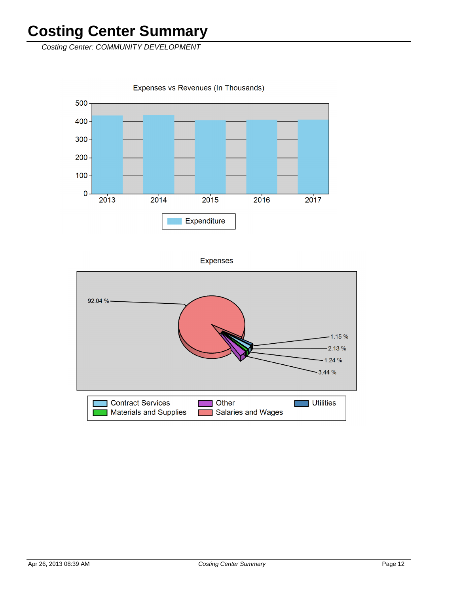Costing Center: COMMUNITY DEVELOPMENT

Expenses vs Revenues (In Thousands)



**Expenses** 

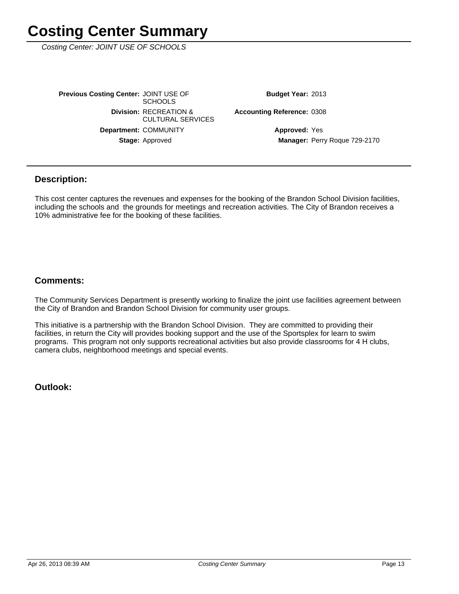Costing Center: JOINT USE OF SCHOOLS

Stage: Approved Department: COMMUNITY **Division: RECREATION &** CULTURAL SERVICES **Previous Costing Center: JOINT USE OF SCHOOLS** 

Budget Year: 2013

Accounting Reference: 0308

Manager: Perry Roque 729-2170 **Approved: Yes** 

#### **Description:**

This cost center captures the revenues and expenses for the booking of the Brandon School Division facilities, including the schools and the grounds for meetings and recreation activities. The City of Brandon receives a 10% administrative fee for the booking of these facilities.

#### **Comments:**

The Community Services Department is presently working to finalize the joint use facilities agreement between the City of Brandon and Brandon School Division for community user groups.

This initiative is a partnership with the Brandon School Division. They are committed to providing their facilities, in return the City will provides booking support and the use of the Sportsplex for learn to swim programs. This program not only supports recreational activities but also provide classrooms for 4 H clubs, camera clubs, neighborhood meetings and special events.

**Outlook:**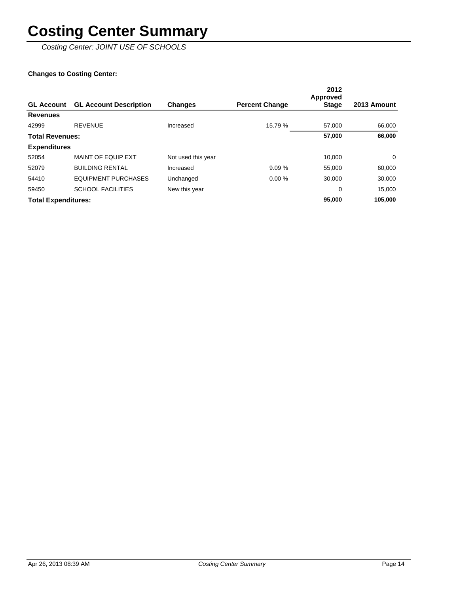Costing Center: JOINT USE OF SCHOOLS

| <b>GL Account</b>          | <b>GL Account Description</b> | <b>Changes</b>     | <b>Percent Change</b> | 2012<br>Approved<br>Stage | 2013 Amount |
|----------------------------|-------------------------------|--------------------|-----------------------|---------------------------|-------------|
| <b>Revenues</b>            |                               |                    |                       |                           |             |
| 42999                      | <b>REVENUE</b>                | Increased          | 15.79 %               | 57.000                    | 66.000      |
| <b>Total Revenues:</b>     |                               |                    |                       | 57.000                    | 66,000      |
| <b>Expenditures</b>        |                               |                    |                       |                           |             |
| 52054                      | <b>MAINT OF EQUIP EXT</b>     | Not used this year |                       | 10,000                    | 0           |
| 52079                      | <b>BUILDING RENTAL</b>        | Increased          | 9.09%                 | 55.000                    | 60,000      |
| 54410                      | <b>EQUIPMENT PURCHASES</b>    | Unchanged          | 0.00%                 | 30,000                    | 30,000      |
| 59450                      | <b>SCHOOL FACILITIES</b>      | New this year      |                       | 0                         | 15,000      |
| <b>Total Expenditures:</b> |                               |                    |                       | 95,000                    | 105,000     |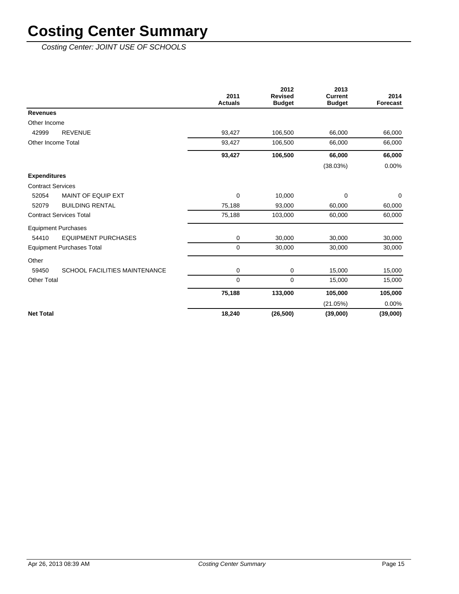Costing Center: JOINT USE OF SCHOOLS

|                                               | 2011<br><b>Actuals</b> | 2012<br><b>Revised</b><br><b>Budget</b> | 2013<br><b>Current</b><br><b>Budget</b> | 2014<br>Forecast |
|-----------------------------------------------|------------------------|-----------------------------------------|-----------------------------------------|------------------|
| <b>Revenues</b>                               |                        |                                         |                                         |                  |
| Other Income                                  |                        |                                         |                                         |                  |
| <b>REVENUE</b><br>42999                       | 93,427                 | 106,500                                 | 66,000                                  | 66,000           |
| Other Income Total                            | 93,427                 | 106,500                                 | 66,000                                  | 66,000           |
|                                               | 93,427                 | 106,500                                 | 66,000                                  | 66,000           |
|                                               |                        |                                         | (38.03%)                                | 0.00%            |
| <b>Expenditures</b>                           |                        |                                         |                                         |                  |
| <b>Contract Services</b>                      |                        |                                         |                                         |                  |
| 52054<br>MAINT OF EQUIP EXT                   | 0                      | 10,000                                  | $\mathbf 0$                             | 0                |
| <b>BUILDING RENTAL</b><br>52079               | 75,188                 | 93,000                                  | 60,000                                  | 60,000           |
| <b>Contract Services Total</b>                | 75,188                 | 103,000                                 | 60,000                                  | 60,000           |
| <b>Equipment Purchases</b>                    |                        |                                         |                                         |                  |
| <b>EQUIPMENT PURCHASES</b><br>54410           | $\mathbf 0$            | 30,000                                  | 30,000                                  | 30,000           |
| <b>Equipment Purchases Total</b>              | 0                      | 30,000                                  | 30,000                                  | 30,000           |
| Other                                         |                        |                                         |                                         |                  |
| <b>SCHOOL FACILITIES MAINTENANCE</b><br>59450 | 0                      | 0                                       | 15,000                                  | 15,000           |
| <b>Other Total</b>                            | $\mathbf 0$            | $\mathbf 0$                             | 15,000                                  | 15,000           |
|                                               | 75,188                 | 133,000                                 | 105,000                                 | 105,000          |
|                                               |                        |                                         | (21.05%)                                | 0.00%            |
| <b>Net Total</b>                              | 18,240                 | (26, 500)                               | (39,000)                                | (39,000)         |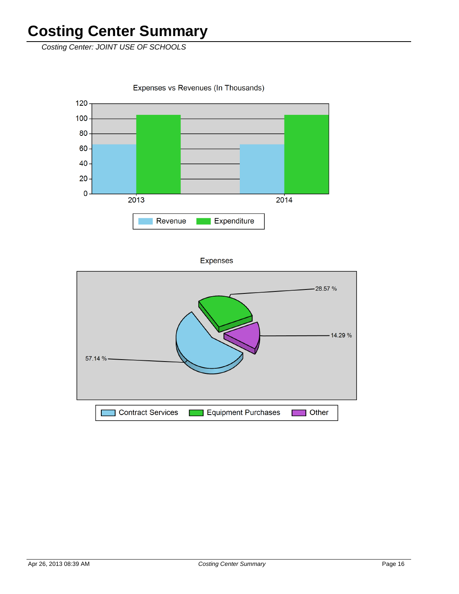Costing Center: JOINT USE OF SCHOOLS

Expenses vs Revenues (In Thousands)



**Expenses** 

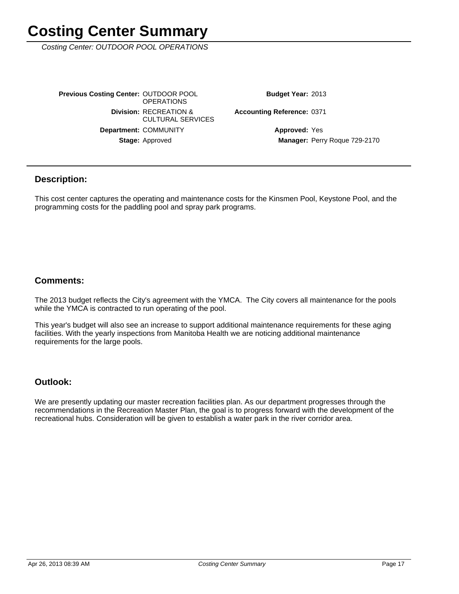Costing Center: OUTDOOR POOL OPERATIONS

Stage: Approved Department: COMMUNITY **Division: RECREATION &** CULTURAL SERVICES **Previous Costing Center: OUTDOOR POOL OPERATIONS** 

Budget Year: 2013

**Accounting Reference: 0371** 

Manager: Perry Roque 729-2170 **Approved: Yes** 

#### **Description:**

This cost center captures the operating and maintenance costs for the Kinsmen Pool, Keystone Pool, and the programming costs for the paddling pool and spray park programs.

#### **Comments:**

The 2013 budget reflects the City's agreement with the YMCA. The City covers all maintenance for the pools while the YMCA is contracted to run operating of the pool.

This year's budget will also see an increase to support additional maintenance requirements for these aging facilities. With the yearly inspections from Manitoba Health we are noticing additional maintenance requirements for the large pools.

#### **Outlook:**

We are presently updating our master recreation facilities plan. As our department progresses through the recommendations in the Recreation Master Plan, the goal is to progress forward with the development of the recreational hubs. Consideration will be given to establish a water park in the river corridor area.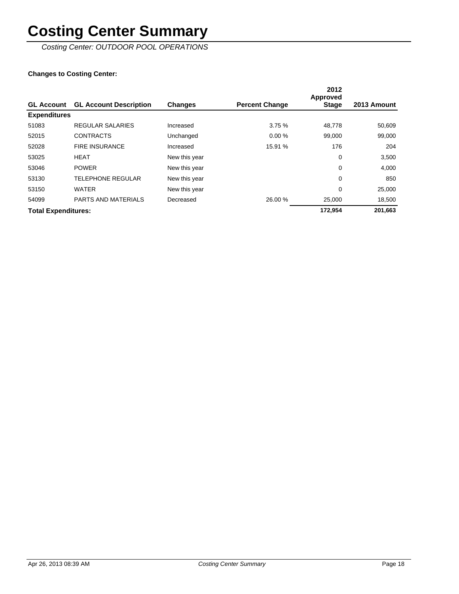Costing Center: OUTDOOR POOL OPERATIONS

|                            |                               |                |                       | 2012<br>Approved |             |
|----------------------------|-------------------------------|----------------|-----------------------|------------------|-------------|
| <b>GL Account</b>          | <b>GL Account Description</b> | <b>Changes</b> | <b>Percent Change</b> | <b>Stage</b>     | 2013 Amount |
| <b>Expenditures</b>        |                               |                |                       |                  |             |
| 51083                      | <b>REGULAR SALARIES</b>       | Increased      | 3.75%                 | 48,778           | 50,609      |
| 52015                      | <b>CONTRACTS</b>              | Unchanged      | 0.00%                 | 99.000           | 99,000      |
| 52028                      | <b>FIRE INSURANCE</b>         | Increased      | 15.91 %               | 176              | 204         |
| 53025                      | <b>HEAT</b>                   | New this year  |                       | 0                | 3,500       |
| 53046                      | <b>POWER</b>                  | New this year  |                       | 0                | 4,000       |
| 53130                      | <b>TELEPHONE REGULAR</b>      | New this year  |                       | 0                | 850         |
| 53150                      | <b>WATER</b>                  | New this year  |                       | 0                | 25,000      |
| 54099                      | PARTS AND MATERIALS           | Decreased      | 26.00 %               | 25,000           | 18,500      |
| <b>Total Expenditures:</b> |                               |                |                       | 172.954          | 201,663     |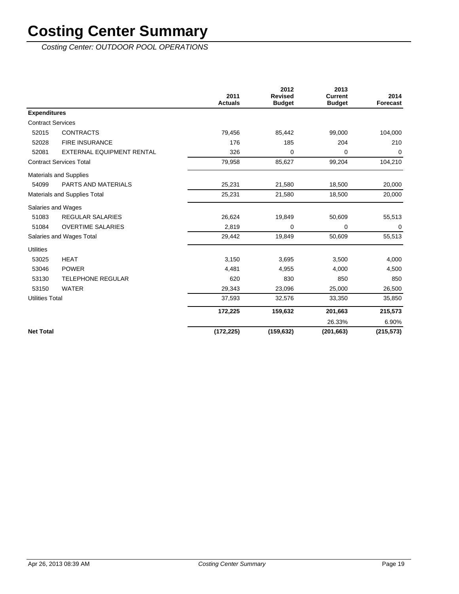Costing Center: OUTDOOR POOL OPERATIONS

|                          |                                  | 2011<br><b>Actuals</b> | 2012<br><b>Revised</b><br><b>Budget</b> | 2013<br><b>Current</b><br><b>Budget</b> | 2014<br><b>Forecast</b> |
|--------------------------|----------------------------------|------------------------|-----------------------------------------|-----------------------------------------|-------------------------|
| <b>Expenditures</b>      |                                  |                        |                                         |                                         |                         |
| <b>Contract Services</b> |                                  |                        |                                         |                                         |                         |
| 52015                    | <b>CONTRACTS</b>                 | 79,456                 | 85,442                                  | 99,000                                  | 104,000                 |
| 52028                    | <b>FIRE INSURANCE</b>            | 176                    | 185                                     | 204                                     | 210                     |
| 52081                    | <b>EXTERNAL EQUIPMENT RENTAL</b> | 326                    | 0                                       | 0                                       | $\mathbf 0$             |
|                          | <b>Contract Services Total</b>   | 79,958                 | 85,627                                  | 99,204                                  | 104,210                 |
|                          | <b>Materials and Supplies</b>    |                        |                                         |                                         |                         |
| 54099                    | <b>PARTS AND MATERIALS</b>       | 25,231                 | 21,580                                  | 18,500                                  | 20,000                  |
|                          | Materials and Supplies Total     | 25,231                 | 21,580                                  | 18,500                                  | 20,000                  |
|                          | Salaries and Wages               |                        |                                         |                                         |                         |
| 51083                    | <b>REGULAR SALARIES</b>          | 26,624                 | 19,849                                  | 50,609                                  | 55,513                  |
| 51084                    | <b>OVERTIME SALARIES</b>         | 2,819                  | $\mathbf 0$                             | 0                                       | $\mathbf 0$             |
|                          | Salaries and Wages Total         | 29,442                 | 19,849                                  | 50,609                                  | 55,513                  |
| <b>Utilities</b>         |                                  |                        |                                         |                                         |                         |
| 53025                    | <b>HEAT</b>                      | 3,150                  | 3,695                                   | 3,500                                   | 4,000                   |
| 53046                    | <b>POWER</b>                     | 4,481                  | 4,955                                   | 4,000                                   | 4,500                   |
| 53130                    | <b>TELEPHONE REGULAR</b>         | 620                    | 830                                     | 850                                     | 850                     |
| 53150                    | <b>WATER</b>                     | 29,343                 | 23,096                                  | 25,000                                  | 26,500                  |
| <b>Utilities Total</b>   |                                  | 37,593                 | 32,576                                  | 33,350                                  | 35,850                  |
|                          |                                  | 172,225                | 159,632                                 | 201,663                                 | 215,573                 |
|                          |                                  |                        |                                         | 26.33%                                  | 6.90%                   |
| <b>Net Total</b>         |                                  | (172, 225)             | (159, 632)                              | (201, 663)                              | (215, 573)              |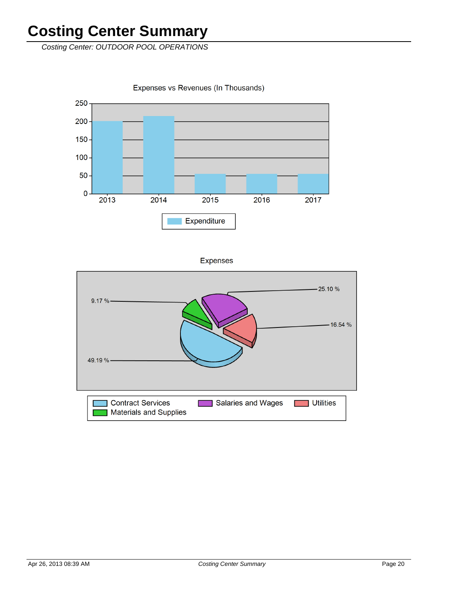Costing Center: OUTDOOR POOL OPERATIONS

Expenses vs Revenues (In Thousands)



**Expenses** 

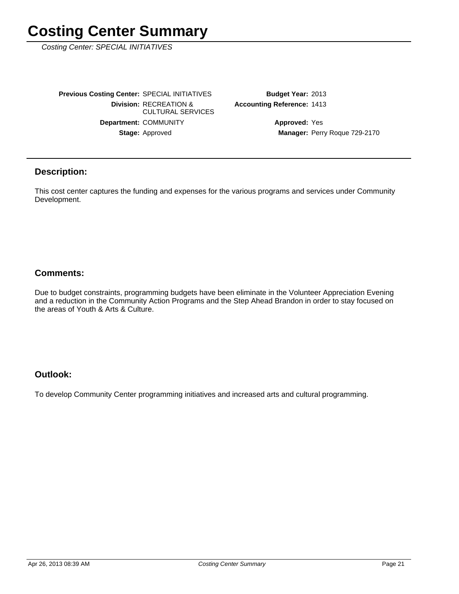Costing Center: SPECIAL INITIATIVES

Stage: Approved Department: COMMUNITY **Division: RECREATION &** CULTURAL SERVICES **Previous Costing Center: SPECIAL INITIATIVES** 

**Accounting Reference: 1413** Budget Year: 2013

> Manager: Perry Roque 729-2170 **Approved: Yes**

#### **Description:**

This cost center captures the funding and expenses for the various programs and services under Community Development.

#### **Comments:**

Due to budget constraints, programming budgets have been eliminate in the Volunteer Appreciation Evening and a reduction in the Community Action Programs and the Step Ahead Brandon in order to stay focused on the areas of Youth & Arts & Culture.

#### **Outlook:**

To develop Community Center programming initiatives and increased arts and cultural programming.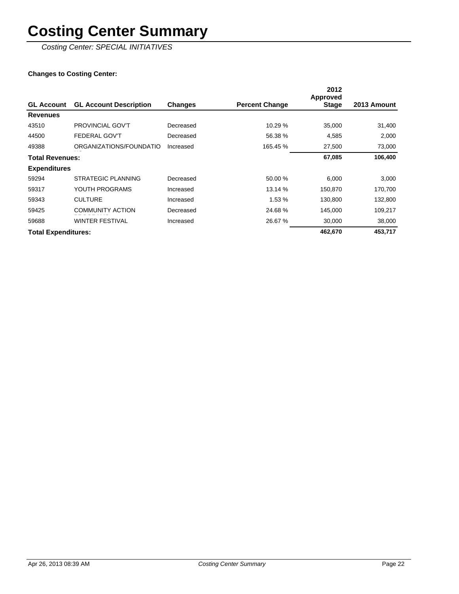Costing Center: SPECIAL INITIATIVES

|                            |                               |                |                       | 2012<br><b>Approved</b> |             |
|----------------------------|-------------------------------|----------------|-----------------------|-------------------------|-------------|
| <b>GL Account</b>          | <b>GL Account Description</b> | <b>Changes</b> | <b>Percent Change</b> | <b>Stage</b>            | 2013 Amount |
| <b>Revenues</b>            |                               |                |                       |                         |             |
| 43510                      | <b>PROVINCIAL GOV'T</b>       | Decreased      | 10.29 %               | 35,000                  | 31,400      |
| 44500                      | <b>FEDERAL GOV'T</b>          | Decreased      | 56.38 %               | 4,585                   | 2,000       |
| 49388                      | ORGANIZATIONS/FOUNDATIO       | Increased      | 165.45 %              | 27,500                  | 73,000      |
| <b>Total Revenues:</b>     |                               |                |                       | 67,085                  | 106,400     |
| <b>Expenditures</b>        |                               |                |                       |                         |             |
| 59294                      | STRATEGIC PLANNING            | Decreased      | 50.00 %               | 6,000                   | 3,000       |
| 59317                      | YOUTH PROGRAMS                | Increased      | 13.14 %               | 150,870                 | 170,700     |
| 59343                      | <b>CULTURE</b>                | Increased      | 1.53 %                | 130,800                 | 132,800     |
| 59425                      | <b>COMMUNITY ACTION</b>       | Decreased      | 24.68%                | 145,000                 | 109,217     |
| 59688                      | <b>WINTER FESTIVAL</b>        | Increased      | 26.67 %               | 30,000                  | 38,000      |
| <b>Total Expenditures:</b> |                               |                |                       | 462,670                 | 453,717     |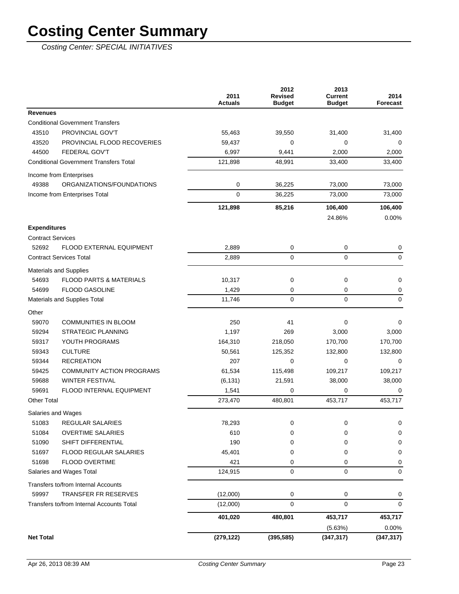Costing Center: SPECIAL INITIATIVES

|                                               | 2011<br><b>Actuals</b> | 2012<br><b>Revised</b><br><b>Budget</b> | 2013<br><b>Current</b><br><b>Budget</b> | 2014<br>Forecast |
|-----------------------------------------------|------------------------|-----------------------------------------|-----------------------------------------|------------------|
| <b>Revenues</b>                               |                        |                                         |                                         |                  |
| <b>Conditional Government Transfers</b>       |                        |                                         |                                         |                  |
| PROVINCIAL GOV'T<br>43510                     | 55,463                 | 39,550                                  | 31,400                                  | 31,400           |
| 43520<br>PROVINCIAL FLOOD RECOVERIES          | 59,437                 | 0                                       | 0                                       | 0                |
| <b>FEDERAL GOV'T</b><br>44500                 | 6,997                  | 9,441                                   | 2,000                                   | 2,000            |
| <b>Conditional Government Transfers Total</b> | 121,898                | 48,991                                  | 33,400                                  | 33,400           |
| Income from Enterprises                       |                        |                                         |                                         |                  |
| 49388<br>ORGANIZATIONS/FOUNDATIONS            | 0                      | 36,225                                  | 73,000                                  | 73,000           |
| Income from Enterprises Total                 | $\mathbf 0$            | 36,225                                  | 73,000                                  | 73,000           |
|                                               | 121,898                | 85,216                                  | 106,400                                 | 106,400          |
|                                               |                        |                                         | 24.86%                                  | 0.00%            |
| <b>Expenditures</b>                           |                        |                                         |                                         |                  |
| <b>Contract Services</b>                      |                        |                                         |                                         |                  |
| 52692<br><b>FLOOD EXTERNAL EQUIPMENT</b>      | 2,889                  | 0                                       | 0                                       | 0                |
| <b>Contract Services Total</b>                | 2,889                  | $\mathbf 0$                             | 0                                       | $\mathbf 0$      |
|                                               |                        |                                         |                                         |                  |
| Materials and Supplies                        |                        |                                         |                                         |                  |
| 54693<br><b>FLOOD PARTS &amp; MATERIALS</b>   | 10,317                 | 0                                       | 0                                       | 0                |
| <b>FLOOD GASOLINE</b><br>54699                | 1,429                  | 0                                       | 0                                       | 0                |
| Materials and Supplies Total                  | 11,746                 | $\mathbf 0$                             | 0                                       | $\mathbf 0$      |
| Other                                         |                        |                                         |                                         |                  |
| 59070<br><b>COMMUNITIES IN BLOOM</b>          | 250                    | 41                                      | 0                                       | 0                |
| 59294<br><b>STRATEGIC PLANNING</b>            | 1,197                  | 269                                     | 3,000                                   | 3,000            |
| 59317<br>YOUTH PROGRAMS                       | 164,310                | 218,050                                 | 170,700                                 | 170,700          |
| <b>CULTURE</b><br>59343                       | 50,561                 | 125,352                                 | 132,800                                 | 132,800          |
| 59344<br><b>RECREATION</b>                    | 207                    | 0                                       | 0                                       | $\Omega$         |
| 59425<br><b>COMMUNITY ACTION PROGRAMS</b>     | 61,534                 | 115,498                                 | 109,217                                 | 109,217          |
| 59688<br><b>WINTER FESTIVAL</b>               | (6, 131)               | 21,591                                  | 38,000                                  | 38,000           |
| 59691<br>FLOOD INTERNAL EQUIPMENT             | 1,541                  | 0                                       | 0                                       | 0                |
| <b>Other Total</b>                            | 273,470                | 480,801                                 | 453,717                                 | 453,717          |
| Salaries and Wages                            |                        |                                         |                                         |                  |
| REGULAR SALARIES<br>51083                     | 78,293                 | 0                                       | 0                                       | 0                |
| 51084<br><b>OVERTIME SALARIES</b>             | 610                    | 0                                       | 0                                       | 0                |
| 51090<br>SHIFT DIFFERENTIAL                   | 190                    | 0                                       | 0                                       | 0                |
| 51697<br>FLOOD REGULAR SALARIES               | 45,401                 | 0                                       | 0                                       | 0                |
| 51698<br>FLOOD OVERTIME                       | 421                    | 0                                       | 0                                       | 0                |
| Salaries and Wages Total                      | 124,915                | 0                                       | 0                                       | 0                |
| Transfers to/from Internal Accounts           |                        |                                         |                                         |                  |
| <b>TRANSFER FR RESERVES</b><br>59997          | (12,000)               | 0                                       | 0                                       | 0                |
| Transfers to/from Internal Accounts Total     | (12,000)               | $\pmb{0}$                               | 0                                       | $\mathbf 0$      |
|                                               | 401,020                | 480,801                                 | 453,717                                 | 453,717          |
|                                               |                        |                                         | (5.63%)                                 | 0.00%            |
| <b>Net Total</b>                              | (279, 122)             | (395, 585)                              | (347, 317)                              | (347, 317)       |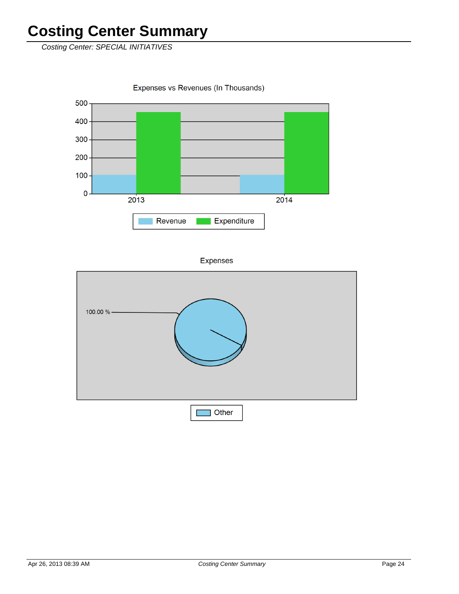Costing Center: SPECIAL INITIATIVES

Expenses vs Revenues (In Thousands)



Expenses

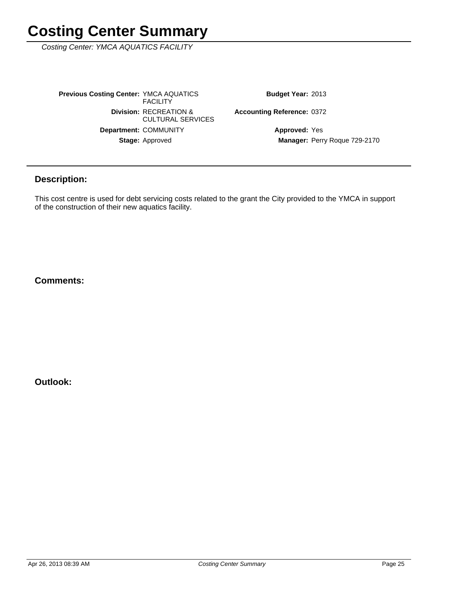Costing Center: YMCA AQUATICS FACILITY

Stage: Approved Department: COMMUNITY **Division: RECREATION &** CULTURAL SERVICES **Previous Costing Center: YMCA AQUATICS FACILITY** 

Budget Year: 2013

Accounting Reference: 0372

Manager: Perry Roque 729-2170 **Approved: Yes** 

### **Description:**

This cost centre is used for debt servicing costs related to the grant the City provided to the YMCA in support of the construction of their new aquatics facility.

**Comments:**

**Outlook:**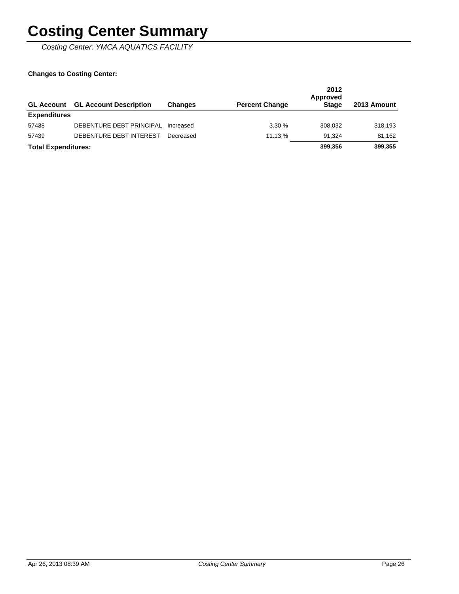Costing Center: YMCA AQUATICS FACILITY

| <b>GL Account</b>          | <b>GL Account Description</b> | <b>Changes</b> | <b>Percent Change</b> | 2012<br>Approved<br><b>Stage</b> | 2013 Amount |
|----------------------------|-------------------------------|----------------|-----------------------|----------------------------------|-------------|
| <b>Expenditures</b>        |                               |                |                       |                                  |             |
| 57438                      | DEBENTURE DEBT PRINCIPAL      | Increased      | 3.30%                 | 308.032                          | 318,193     |
| 57439                      | DEBENTURE DEBT INTEREST       | Decreased      | 11.13%                | 91.324                           | 81.162      |
| <b>Total Expenditures:</b> |                               |                |                       | 399.356                          | 399,355     |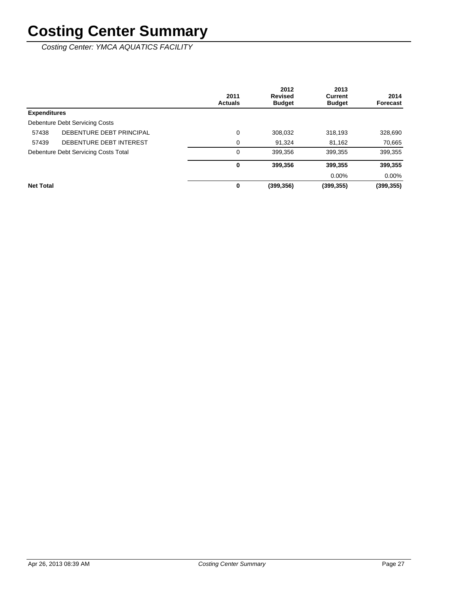Costing Center: YMCA AQUATICS FACILITY

|                     |                                      | 2011<br><b>Actuals</b> | 2012<br><b>Revised</b><br><b>Budget</b> | 2013<br><b>Current</b><br><b>Budget</b> | 2014<br>Forecast |
|---------------------|--------------------------------------|------------------------|-----------------------------------------|-----------------------------------------|------------------|
| <b>Expenditures</b> |                                      |                        |                                         |                                         |                  |
|                     | Debenture Debt Servicing Costs       |                        |                                         |                                         |                  |
| 57438               | DEBENTURE DEBT PRINCIPAL             | $\mathbf 0$            | 308,032                                 | 318,193                                 | 328,690          |
| 57439               | DEBENTURE DEBT INTEREST              | 0                      | 91,324                                  | 81,162                                  | 70,665           |
|                     | Debenture Debt Servicing Costs Total | 0                      | 399,356                                 | 399,355                                 | 399,355          |
|                     |                                      | 0                      | 399,356                                 | 399,355                                 | 399,355          |
|                     |                                      |                        |                                         | $0.00\%$                                | $0.00\%$         |
| <b>Net Total</b>    |                                      | 0                      | (399, 356)                              | (399, 355)                              | (399,355)        |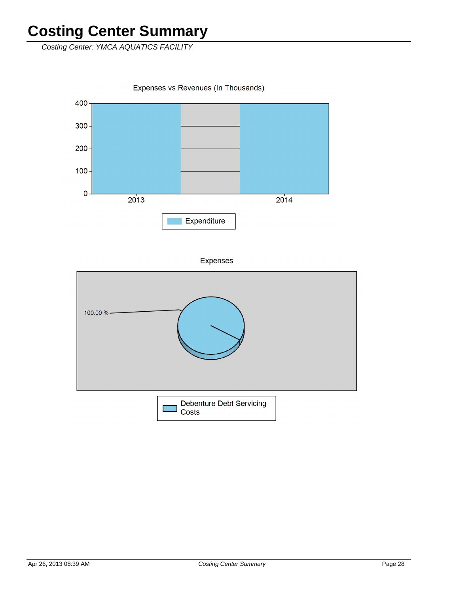Costing Center: YMCA AQUATICS FACILITY

Expenses vs Revenues (In Thousands)



**Expenses** 

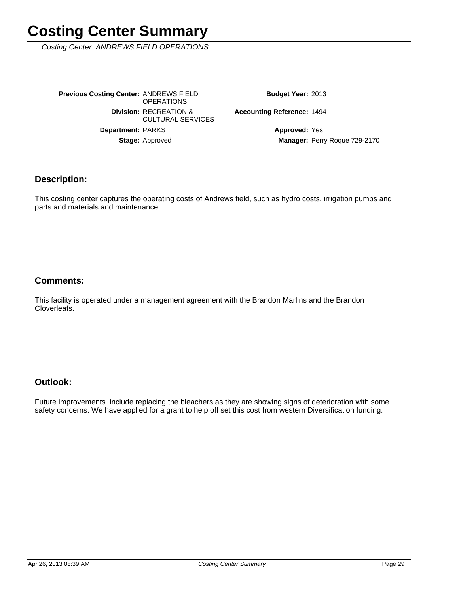Costing Center: ANDREWS FIELD OPERATIONS

Stage: Approved Department: PARKS **Division: RECREATION &** CULTURAL SERVICES **Previous Costing Center: ANDREWS FIELD OPERATIONS** 

Budget Year: 2013

**Accounting Reference: 1494** 

Manager: Perry Roque 729-2170 **Approved: Yes** 

#### **Description:**

This costing center captures the operating costs of Andrews field, such as hydro costs, irrigation pumps and parts and materials and maintenance.

#### **Comments:**

This facility is operated under a management agreement with the Brandon Marlins and the Brandon Cloverleafs.

### **Outlook:**

Future improvements include replacing the bleachers as they are showing signs of deterioration with some safety concerns. We have applied for a grant to help off set this cost from western Diversification funding.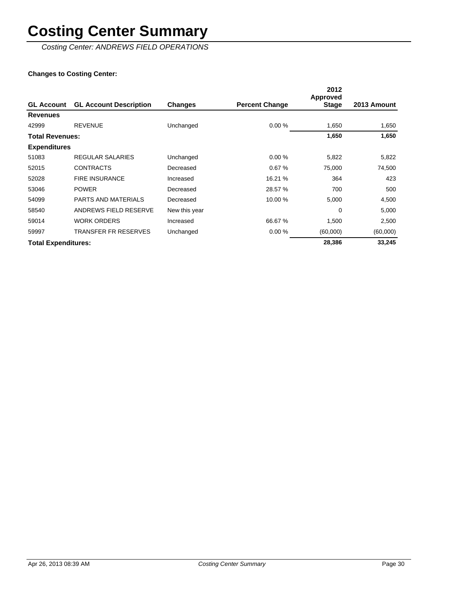Costing Center: ANDREWS FIELD OPERATIONS

|                            |                               |                |                       | 2012<br><b>Approved</b> |             |
|----------------------------|-------------------------------|----------------|-----------------------|-------------------------|-------------|
| <b>GL Account</b>          | <b>GL Account Description</b> | <b>Changes</b> | <b>Percent Change</b> | <b>Stage</b>            | 2013 Amount |
| <b>Revenues</b>            |                               |                |                       |                         |             |
| 42999                      | <b>REVENUE</b>                | Unchanged      | 0.00%                 | 1,650                   | 1,650       |
| <b>Total Revenues:</b>     |                               |                |                       | 1,650                   | 1,650       |
| <b>Expenditures</b>        |                               |                |                       |                         |             |
| 51083                      | REGULAR SALARIES              | Unchanged      | 0.00%                 | 5,822                   | 5,822       |
| 52015                      | <b>CONTRACTS</b>              | Decreased      | 0.67%                 | 75,000                  | 74,500      |
| 52028                      | <b>FIRE INSURANCE</b>         | Increased      | 16.21 %               | 364                     | 423         |
| 53046                      | <b>POWER</b>                  | Decreased      | 28.57 %               | 700                     | 500         |
| 54099                      | <b>PARTS AND MATERIALS</b>    | Decreased      | 10.00 %               | 5,000                   | 4,500       |
| 58540                      | ANDREWS FIELD RESERVE         | New this year  |                       | $\mathbf 0$             | 5,000       |
| 59014                      | <b>WORK ORDERS</b>            | Increased      | 66.67 %               | 1,500                   | 2,500       |
| 59997                      | <b>TRANSFER FR RESERVES</b>   | Unchanged      | 0.00%                 | (60,000)                | (60,000)    |
| <b>Total Expenditures:</b> |                               |                |                       | 28,386                  | 33,245      |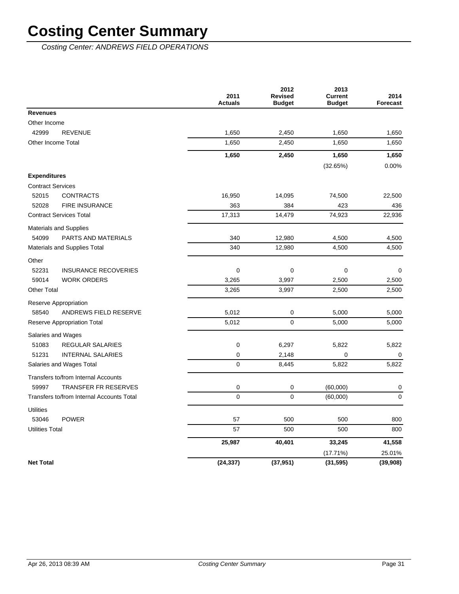Costing Center: ANDREWS FIELD OPERATIONS

|                                           | 2011<br><b>Actuals</b> | 2012<br><b>Revised</b><br><b>Budget</b> | 2013<br><b>Current</b><br><b>Budget</b> | 2014<br><b>Forecast</b> |
|-------------------------------------------|------------------------|-----------------------------------------|-----------------------------------------|-------------------------|
| <b>Revenues</b>                           |                        |                                         |                                         |                         |
| Other Income                              |                        |                                         |                                         |                         |
| 42999<br><b>REVENUE</b>                   | 1,650                  | 2,450                                   | 1,650                                   | 1,650                   |
| Other Income Total                        | 1,650                  | 2,450                                   | 1,650                                   | 1,650                   |
|                                           | 1,650                  | 2,450                                   | 1,650                                   | 1,650                   |
|                                           |                        |                                         | (32.65%)                                | 0.00%                   |
| <b>Expenditures</b>                       |                        |                                         |                                         |                         |
| <b>Contract Services</b>                  |                        |                                         |                                         |                         |
| 52015<br><b>CONTRACTS</b>                 | 16,950                 | 14,095                                  | 74,500                                  | 22,500                  |
| 52028<br><b>FIRE INSURANCE</b>            | 363                    | 384                                     | 423                                     | 436                     |
| <b>Contract Services Total</b>            | 17,313                 | 14,479                                  | 74,923                                  | 22,936                  |
| <b>Materials and Supplies</b>             |                        |                                         |                                         |                         |
| 54099<br>PARTS AND MATERIALS              | 340                    | 12,980                                  | 4,500                                   | 4,500                   |
| <b>Materials and Supplies Total</b>       | 340                    | 12,980                                  | 4,500                                   | 4,500                   |
| Other                                     |                        |                                         |                                         |                         |
| 52231<br><b>INSURANCE RECOVERIES</b>      | $\mathbf 0$            | $\mathbf 0$                             | 0                                       | $\mathbf 0$             |
| 59014<br><b>WORK ORDERS</b>               | 3,265                  | 3,997                                   | 2,500                                   | 2,500                   |
| <b>Other Total</b>                        | 3,265                  | 3,997                                   | 2,500                                   | 2,500                   |
| Reserve Appropriation                     |                        |                                         |                                         |                         |
| 58540<br>ANDREWS FIELD RESERVE            | 5,012                  | $\mathbf 0$                             | 5,000                                   | 5,000                   |
| Reserve Appropriation Total               | 5,012                  | $\mathbf 0$                             | 5,000                                   | 5,000                   |
| Salaries and Wages                        |                        |                                         |                                         |                         |
| 51083<br><b>REGULAR SALARIES</b>          | $\mathbf 0$            | 6,297                                   | 5,822                                   | 5,822                   |
| 51231<br><b>INTERNAL SALARIES</b>         | 0                      | 2,148                                   | 0                                       | $\mathbf 0$             |
| Salaries and Wages Total                  | 0                      | 8,445                                   | 5,822                                   | 5,822                   |
| Transfers to/from Internal Accounts       |                        |                                         |                                         |                         |
| <b>TRANSFER FR RESERVES</b><br>59997      | 0                      | 0                                       | (60,000)                                | 0                       |
| Transfers to/from Internal Accounts Total | $\Omega$               | $\pmb{0}$                               | (60,000)                                | $\pmb{0}$               |
| <b>Utilities</b>                          |                        |                                         |                                         |                         |
| 53046<br><b>POWER</b>                     | 57                     | 500                                     | 500                                     | 800                     |
| <b>Utilities Total</b>                    | 57                     | 500                                     | 500                                     | 800                     |
|                                           | 25,987                 | 40,401                                  | 33,245                                  | 41,558                  |
|                                           |                        |                                         | (17.71%)                                | 25.01%                  |
| <b>Net Total</b>                          | (24, 337)              | (37, 951)                               | (31, 595)                               | (39,908)                |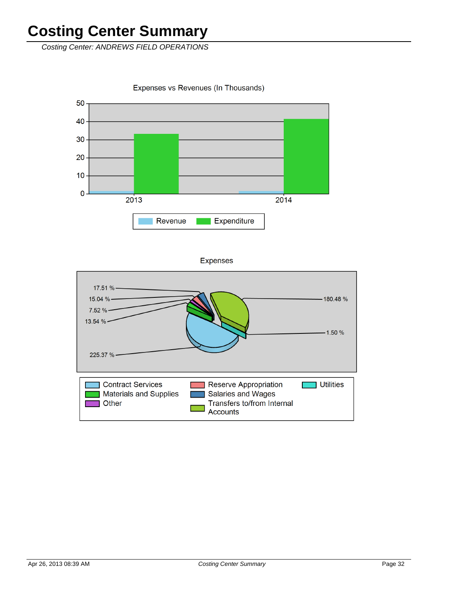Costing Center: ANDREWS FIELD OPERATIONS

Expenses vs Revenues (In Thousands)



**Expenses** 

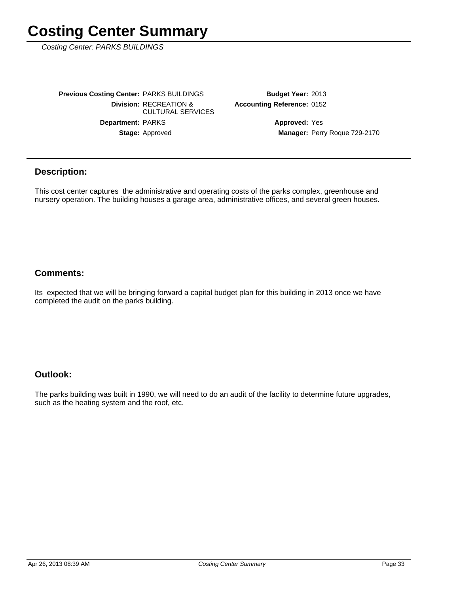Costing Center: PARKS BUILDINGS

Stage: Approved Department: PARKS **Division: RECREATION &** CULTURAL SERVICES **Previous Costing Center: PARKS BUILDINGS** 

**Accounting Reference: 0152** Budget Year: 2013

> Manager: Perry Roque 729-2170 **Approved: Yes**

#### **Description:**

This cost center captures the administrative and operating costs of the parks complex, greenhouse and nursery operation. The building houses a garage area, administrative offices, and several green houses.

### **Comments:**

Its expected that we will be bringing forward a capital budget plan for this building in 2013 once we have completed the audit on the parks building.

#### **Outlook:**

The parks building was built in 1990, we will need to do an audit of the facility to determine future upgrades, such as the heating system and the roof, etc.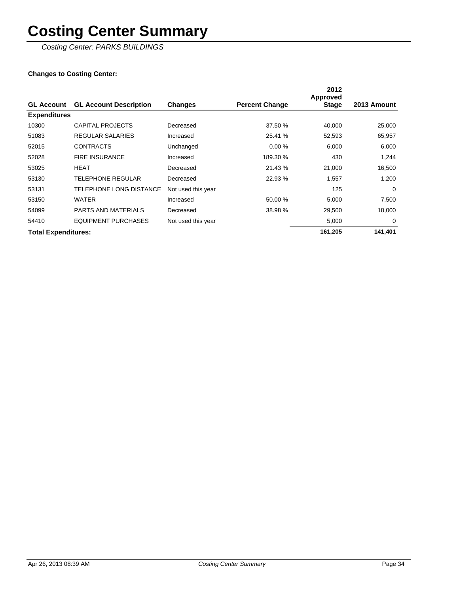Costing Center: PARKS BUILDINGS

|                            |                               |                    |                       | 2012<br><b>Approved</b> |             |
|----------------------------|-------------------------------|--------------------|-----------------------|-------------------------|-------------|
| <b>GL Account</b>          | <b>GL Account Description</b> | <b>Changes</b>     | <b>Percent Change</b> | <b>Stage</b>            | 2013 Amount |
| <b>Expenditures</b>        |                               |                    |                       |                         |             |
| 10300                      | CAPITAL PROJECTS              | Decreased          | 37.50 %               | 40,000                  | 25,000      |
| 51083                      | REGULAR SALARIES              | Increased          | 25.41 %               | 52,593                  | 65,957      |
| 52015                      | <b>CONTRACTS</b>              | Unchanged          | 0.00%                 | 6,000                   | 6,000       |
| 52028                      | <b>FIRE INSURANCE</b>         | Increased          | 189.30 %              | 430                     | 1,244       |
| 53025                      | <b>HEAT</b>                   | Decreased          | 21.43 %               | 21,000                  | 16,500      |
| 53130                      | <b>TELEPHONE REGULAR</b>      | Decreased          | 22.93 %               | 1.557                   | 1,200       |
| 53131                      | TELEPHONE LONG DISTANCE       | Not used this year |                       | 125                     | $\Omega$    |
| 53150                      | <b>WATER</b>                  | Increased          | 50.00 %               | 5,000                   | 7,500       |
| 54099                      | <b>PARTS AND MATERIALS</b>    | Decreased          | 38.98 %               | 29,500                  | 18,000      |
| 54410                      | <b>EQUIPMENT PURCHASES</b>    | Not used this year |                       | 5,000                   | 0           |
| <b>Total Expenditures:</b> |                               |                    |                       | 161,205                 | 141,401     |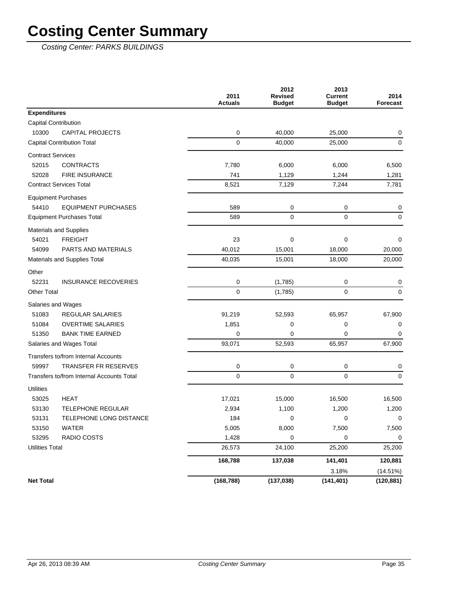Costing Center: PARKS BUILDINGS

|                          |                                           | 2011<br><b>Actuals</b> | 2012<br><b>Revised</b><br><b>Budget</b> | 2013<br><b>Current</b><br><b>Budget</b> | 2014<br><b>Forecast</b> |
|--------------------------|-------------------------------------------|------------------------|-----------------------------------------|-----------------------------------------|-------------------------|
| <b>Expenditures</b>      |                                           |                        |                                         |                                         |                         |
|                          | Capital Contribution                      |                        |                                         |                                         |                         |
| 10300                    | <b>CAPITAL PROJECTS</b>                   | 0                      | 40,000                                  | 25,000                                  | 0                       |
|                          | Capital Contribution Total                | 0                      | 40,000                                  | 25,000                                  | $\mathbf 0$             |
| <b>Contract Services</b> |                                           |                        |                                         |                                         |                         |
| 52015                    | <b>CONTRACTS</b>                          | 7,780                  | 6,000                                   | 6,000                                   | 6,500                   |
| 52028                    | <b>FIRE INSURANCE</b>                     | 741                    | 1,129                                   | 1,244                                   | 1,281                   |
|                          | <b>Contract Services Total</b>            | 8,521                  | 7,129                                   | 7,244                                   | 7,781                   |
|                          | <b>Equipment Purchases</b>                |                        |                                         |                                         |                         |
| 54410                    | <b>EQUIPMENT PURCHASES</b>                | 589                    | 0                                       | 0                                       | 0                       |
|                          | <b>Equipment Purchases Total</b>          | 589                    | $\mathbf 0$                             | 0                                       | $\mathbf 0$             |
|                          | Materials and Supplies                    |                        |                                         |                                         |                         |
| 54021                    | <b>FREIGHT</b>                            | 23                     | 0                                       | 0                                       | 0                       |
| 54099                    | PARTS AND MATERIALS                       | 40,012                 | 15,001                                  | 18,000                                  | 20,000                  |
|                          | Materials and Supplies Total              | 40,035                 | 15,001                                  | 18,000                                  | 20,000                  |
| Other                    |                                           |                        |                                         |                                         |                         |
| 52231                    | <b>INSURANCE RECOVERIES</b>               | 0                      | (1,785)                                 | 0                                       | 0                       |
| <b>Other Total</b>       |                                           | 0                      | (1,785)                                 | 0                                       | 0                       |
|                          | Salaries and Wages                        |                        |                                         |                                         |                         |
| 51083                    | <b>REGULAR SALARIES</b>                   | 91,219                 | 52,593                                  | 65,957                                  | 67,900                  |
| 51084                    | <b>OVERTIME SALARIES</b>                  | 1,851                  | 0                                       | 0                                       | 0                       |
| 51350                    | <b>BANK TIME EARNED</b>                   | 0                      | 0                                       | 0                                       | 0                       |
|                          | Salaries and Wages Total                  | 93,071                 | 52,593                                  | 65,957                                  | 67,900                  |
|                          | Transfers to/from Internal Accounts       |                        |                                         |                                         |                         |
| 59997                    | <b>TRANSFER FR RESERVES</b>               | 0                      | 0                                       | 0                                       | 0                       |
|                          | Transfers to/from Internal Accounts Total | 0                      | 0                                       | 0                                       | $\mathbf 0$             |
| <b>Utilities</b>         |                                           |                        |                                         |                                         |                         |
| 53025                    | <b>HEAT</b>                               | 17,021                 | 15,000                                  | 16,500                                  | 16,500                  |
| 53130                    | <b>TELEPHONE REGULAR</b>                  | 2,934                  | 1,100                                   | 1,200                                   | 1,200                   |
| 53131                    | <b>TELEPHONE LONG DISTANCE</b>            | 184                    | 0                                       | 0                                       | 0                       |
| 53150                    | WATER                                     | 5,005                  | 8,000                                   | 7,500                                   | 7,500                   |
| 53295                    | RADIO COSTS                               | 1,428                  | 0                                       | 0                                       | 0                       |
| <b>Utilities Total</b>   |                                           | 26,573                 | 24,100                                  | 25,200                                  | 25,200                  |
|                          |                                           | 168,788                | 137,038                                 | 141,401                                 | 120,881                 |
|                          |                                           |                        |                                         | 3.18%                                   | (14.51%)                |
| <b>Net Total</b>         |                                           | (168, 788)             | (137, 038)                              | (141, 401)                              | (120, 881)              |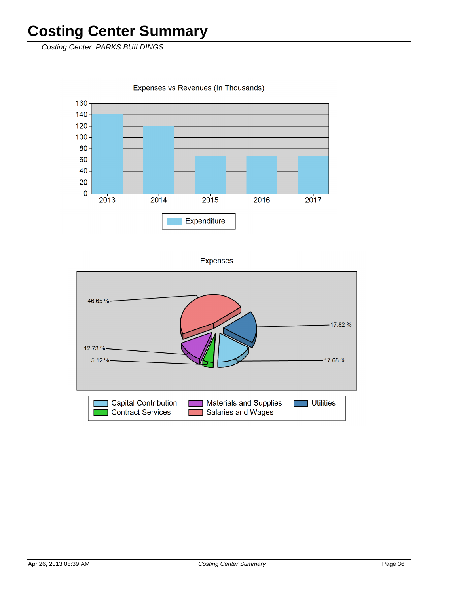Costing Center: PARKS BUILDINGS



Expenses vs Revenues (In Thousands)

**Expenses** 

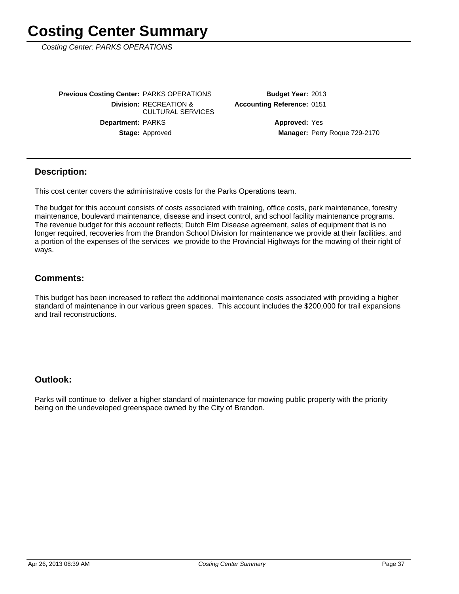Costing Center: PARKS OPERATIONS

Stage: Approved Department: PARKS **Division: RECREATION &** CULTURAL SERVICES **Previous Costing Center: PARKS OPERATIONS** 

**Accounting Reference: 0151** Budget Year: 2013

> Manager: Perry Roque 729-2170 **Approved: Yes**

#### **Description:**

This cost center covers the administrative costs for the Parks Operations team.

The budget for this account consists of costs associated with training, office costs, park maintenance, forestry maintenance, boulevard maintenance, disease and insect control, and school facility maintenance programs. The revenue budget for this account reflects; Dutch Elm Disease agreement, sales of equipment that is no longer required, recoveries from the Brandon School Division for maintenance we provide at their facilities, and a portion of the expenses of the services we provide to the Provincial Highways for the mowing of their right of ways.

#### **Comments:**

This budget has been increased to reflect the additional maintenance costs associated with providing a higher standard of maintenance in our various green spaces. This account includes the \$200,000 for trail expansions and trail reconstructions.

#### **Outlook:**

Parks will continue to deliver a higher standard of maintenance for mowing public property with the priority being on the undeveloped greenspace owned by the City of Brandon.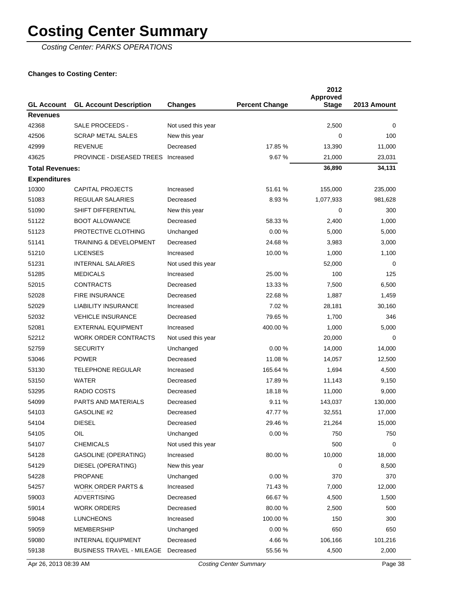Costing Center: PARKS OPERATIONS

| <b>GL Account</b>      | <b>GL Account Description</b>       | <b>Changes</b>     | <b>Percent Change</b> | 2012<br>Approved<br><b>Stage</b> | 2013 Amount |
|------------------------|-------------------------------------|--------------------|-----------------------|----------------------------------|-------------|
| <b>Revenues</b>        |                                     |                    |                       |                                  |             |
| 42368                  | SALE PROCEEDS -                     | Not used this year |                       | 2,500                            | 0           |
| 42506                  | <b>SCRAP METAL SALES</b>            | New this year      |                       | 0                                | 100         |
| 42999                  | <b>REVENUE</b>                      | Decreased          | 17.85 %               | 13,390                           | 11,000      |
| 43625                  | PROVINCE - DISEASED TREES Increased |                    | 9.67%                 | 21,000                           | 23,031      |
| <b>Total Revenues:</b> |                                     |                    |                       | 36,890                           | 34,131      |
| <b>Expenditures</b>    |                                     |                    |                       |                                  |             |
| 10300                  | <b>CAPITAL PROJECTS</b>             | Increased          | 51.61 %               | 155,000                          | 235,000     |
| 51083                  | <b>REGULAR SALARIES</b>             | Decreased          | 8.93%                 | 1,077,933                        | 981,628     |
| 51090                  | SHIFT DIFFERENTIAL                  | New this year      |                       | 0                                | 300         |
| 51122                  | <b>BOOT ALLOWANCE</b>               | Decreased          | 58.33 %               | 2,400                            | 1,000       |
| 51123                  | PROTECTIVE CLOTHING                 | Unchanged          | 0.00%                 | 5,000                            | 5,000       |
| 51141                  | TRAINING & DEVELOPMENT              | Decreased          | 24.68%                | 3,983                            | 3,000       |
| 51210                  | <b>LICENSES</b>                     | Increased          | 10.00 %               | 1,000                            | 1,100       |
| 51231                  | <b>INTERNAL SALARIES</b>            | Not used this year |                       | 52,000                           | $\Omega$    |
| 51285                  | <b>MEDICALS</b>                     | Increased          | 25.00 %               | 100                              | 125         |
| 52015                  | <b>CONTRACTS</b>                    | Decreased          | 13.33 %               | 7,500                            | 6,500       |
| 52028                  | <b>FIRE INSURANCE</b>               | Decreased          | 22.68 %               | 1,887                            | 1,459       |
| 52029                  | <b>LIABILITY INSURANCE</b>          | Increased          | 7.02 %                | 28,181                           | 30,160      |
| 52032                  | <b>VEHICLE INSURANCE</b>            | Decreased          | 79.65 %               | 1,700                            | 346         |
| 52081                  | <b>EXTERNAL EQUIPMENT</b>           | Increased          | 400.00 %              | 1,000                            | 5,000       |
| 52212                  | WORK ORDER CONTRACTS                | Not used this year |                       | 20,000                           | 0           |
| 52759                  | <b>SECURITY</b>                     | Unchanged          | 0.00%                 | 14,000                           | 14,000      |
| 53046                  | <b>POWER</b>                        | Decreased          | 11.08 %               | 14,057                           | 12,500      |
| 53130                  | <b>TELEPHONE REGULAR</b>            | Increased          | 165.64 %              | 1,694                            | 4,500       |
| 53150                  | <b>WATER</b>                        | Decreased          | 17.89 %               | 11,143                           | 9,150       |
| 53295                  | RADIO COSTS                         | Decreased          | 18.18 %               | 11,000                           | 9,000       |
| 54099                  | <b>PARTS AND MATERIALS</b>          | Decreased          | 9.11%                 | 143,037                          | 130,000     |
| 54103                  | GASOLINE #2                         | Decreased          | 47.77 %               | 32,551                           | 17,000      |
| 54104                  | <b>DIESEL</b>                       | Decreased          | 29.46 %               | 21,264                           | 15,000      |
| 54105                  | OIL                                 | Unchanged          | 0.00%                 | 750                              | 750         |
| 54107                  | <b>CHEMICALS</b>                    | Not used this year |                       | 500                              | 0           |
| 54128                  | <b>GASOLINE (OPERATING)</b>         | Increased          | 80.00 %               | 10,000                           | 18,000      |
| 54129                  | DIESEL (OPERATING)                  | New this year      |                       | 0                                | 8,500       |
| 54228                  | <b>PROPANE</b>                      | Unchanged          | 0.00%                 | 370                              | 370         |
| 54257                  | <b>WORK ORDER PARTS &amp;</b>       | Increased          | 71.43 %               | 7,000                            | 12,000      |
| 59003                  | <b>ADVERTISING</b>                  | Decreased          | 66.67%                | 4,500                            | 1,500       |
| 59014                  | <b>WORK ORDERS</b>                  | Decreased          | 80.00 %               | 2,500                            | 500         |
| 59048                  | <b>LUNCHEONS</b>                    | Increased          | 100.00 %              | 150                              | 300         |
| 59059                  | MEMBERSHIP                          | Unchanged          | 0.00%                 | 650                              | 650         |
| 59080                  | INTERNAL EQUIPMENT                  | Decreased          | 4.66%                 | 106,166                          | 101,216     |
| 59138                  | <b>BUSINESS TRAVEL - MILEAGE</b>    | Decreased          | 55.56 %               | 4,500                            | 2,000       |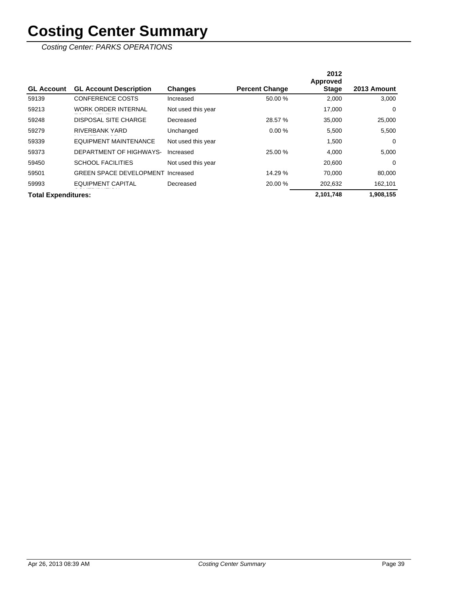|                            |                                |                    |                       | 2012<br>Approved |             |
|----------------------------|--------------------------------|--------------------|-----------------------|------------------|-------------|
| <b>GL Account</b>          | <b>GL Account Description</b>  | <b>Changes</b>     | <b>Percent Change</b> | <b>Stage</b>     | 2013 Amount |
| 59139                      | <b>CONFERENCE COSTS</b>        | Increased          | 50.00 %               | 2,000            | 3,000       |
| 59213                      | WORK ORDER INTERNAL            | Not used this year |                       | 17,000           | 0           |
| 59248                      | DISPOSAL SITE CHARGE           | Decreased          | 28.57 %               | 35.000           | 25,000      |
| 59279                      | RIVERBANK YARD                 | Unchanged          | 0.00%                 | 5.500            | 5,500       |
| 59339                      | EQUIPMENT MAINTENANCE          | Not used this year |                       | 1,500            | 0           |
| 59373                      | DEPARTMENT OF HIGHWAYS-        | Increased          | 25.00 %               | 4,000            | 5,000       |
| 59450                      | <b>SCHOOL FACILITIES</b>       | Not used this year |                       | 20,600           | $\Omega$    |
| 59501                      | <b>GREEN SPACE DEVELOPMENT</b> | Increased          | 14.29 %               | 70.000           | 80,000      |
| 59993                      | <b>EQUIPMENT CAPITAL</b>       | Decreased          | 20.00 %               | 202,632          | 162,101     |
| <b>Total Expenditures:</b> |                                |                    |                       | 2,101,748        | 1,908,155   |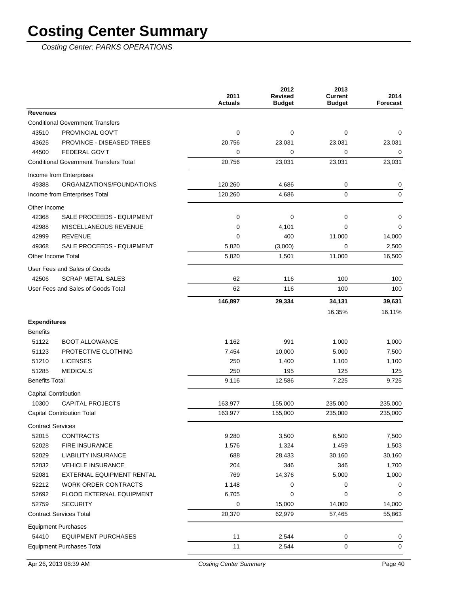| <b>Revenues</b><br><b>Conditional Government Transfers</b><br>PROVINCIAL GOV'T<br>$\mathbf 0$<br>0<br>43510<br>0<br>0<br>43625<br><b>PROVINCE - DISEASED TREES</b><br>20,756<br>23,031<br>23,031<br>23,031<br>FEDERAL GOV'T<br>0<br>44500<br>0<br>0<br>0<br>20,756<br><b>Conditional Government Transfers Total</b><br>23,031<br>23,031<br>23,031<br>Income from Enterprises<br>49388<br>ORGANIZATIONS/FOUNDATIONS<br>120,260<br>4,686<br>0<br>0<br>0<br>0<br>Income from Enterprises Total<br>120,260<br>4,686<br>Other Income<br>42368<br>SALE PROCEEDS - EQUIPMENT<br>0<br>0<br>0<br>0<br>42988<br>MISCELLANEOUS REVENUE<br>4,101<br>0<br>0<br>$\Omega$<br>42999<br><b>REVENUE</b><br>0<br>400<br>11,000<br>14,000<br>49368<br>SALE PROCEEDS - EQUIPMENT<br>5,820<br>(3,000)<br>0<br>2,500<br>11,000<br>Other Income Total<br>5,820<br>1,501<br>16,500<br>User Fees and Sales of Goods<br><b>SCRAP METAL SALES</b><br>62<br>116<br>42506<br>100<br>100<br>User Fees and Sales of Goods Total<br>62<br>116<br>100<br>100<br>146,897<br>29,334<br>34,131<br>39,631<br>16.11%<br>16.35%<br><b>Expenditures</b><br><b>Benefits</b><br>1,162<br>51122<br><b>BOOT ALLOWANCE</b><br>991<br>1,000<br>1,000<br>51123<br>PROTECTIVE CLOTHING<br>7,454<br>10,000<br>5,000<br>7,500<br>250<br>51210<br><b>LICENSES</b><br>1,400<br>1,100<br>1,100<br><b>MEDICALS</b><br>51285<br>250<br>195<br>125<br>125<br><b>Benefits Total</b><br>9,116<br>7,225<br>9,725<br>12,586<br>Capital Contribution<br><b>CAPITAL PROJECTS</b><br>10300<br>163,977<br>155,000<br>235,000<br>235,000<br><b>Capital Contribution Total</b><br>163,977<br>155,000<br>235,000<br>235,000<br><b>Contract Services</b><br>52015<br><b>CONTRACTS</b><br>9,280<br>3,500<br>6,500<br>7,500<br>52028<br><b>FIRE INSURANCE</b><br>1,576<br>1,324<br>1,459<br>1,503<br>688<br>52029<br><b>LIABILITY INSURANCE</b><br>28,433<br>30,160<br>30,160<br><b>VEHICLE INSURANCE</b><br>204<br>52032<br>346<br>346<br>1,700<br>52081<br>EXTERNAL EQUIPMENT RENTAL<br>769<br>14,376<br>5,000<br>1,000<br>52212<br><b>WORK ORDER CONTRACTS</b><br>1,148<br>0<br>0<br>0<br>52692<br>FLOOD EXTERNAL EQUIPMENT<br>6,705<br>0<br>0<br>0<br>52759<br><b>SECURITY</b><br>0<br>15,000<br>14,000<br>14,000<br>20,370<br><b>Contract Services Total</b><br>62,979<br>57,465<br>55,863<br><b>Equipment Purchases</b><br><b>EQUIPMENT PURCHASES</b><br>11<br>54410<br>2,544<br>0<br>0<br>$\mathbf 0$<br><b>Equipment Purchases Total</b><br>11<br>2,544<br>0 |  | 2011<br><b>Actuals</b> | 2012<br><b>Revised</b><br><b>Budget</b> | 2013<br><b>Current</b><br><b>Budget</b> | 2014<br><b>Forecast</b> |
|-----------------------------------------------------------------------------------------------------------------------------------------------------------------------------------------------------------------------------------------------------------------------------------------------------------------------------------------------------------------------------------------------------------------------------------------------------------------------------------------------------------------------------------------------------------------------------------------------------------------------------------------------------------------------------------------------------------------------------------------------------------------------------------------------------------------------------------------------------------------------------------------------------------------------------------------------------------------------------------------------------------------------------------------------------------------------------------------------------------------------------------------------------------------------------------------------------------------------------------------------------------------------------------------------------------------------------------------------------------------------------------------------------------------------------------------------------------------------------------------------------------------------------------------------------------------------------------------------------------------------------------------------------------------------------------------------------------------------------------------------------------------------------------------------------------------------------------------------------------------------------------------------------------------------------------------------------------------------------------------------------------------------------------------------------------------------------------------------------------------------------------------------------------------------------------------------------------------------------------------------------------------------------------------------------------------------------------------------------------------------------------------------------------------------------------------------------------------------------------------------|--|------------------------|-----------------------------------------|-----------------------------------------|-------------------------|
|                                                                                                                                                                                                                                                                                                                                                                                                                                                                                                                                                                                                                                                                                                                                                                                                                                                                                                                                                                                                                                                                                                                                                                                                                                                                                                                                                                                                                                                                                                                                                                                                                                                                                                                                                                                                                                                                                                                                                                                                                                                                                                                                                                                                                                                                                                                                                                                                                                                                                               |  |                        |                                         |                                         |                         |
|                                                                                                                                                                                                                                                                                                                                                                                                                                                                                                                                                                                                                                                                                                                                                                                                                                                                                                                                                                                                                                                                                                                                                                                                                                                                                                                                                                                                                                                                                                                                                                                                                                                                                                                                                                                                                                                                                                                                                                                                                                                                                                                                                                                                                                                                                                                                                                                                                                                                                               |  |                        |                                         |                                         |                         |
|                                                                                                                                                                                                                                                                                                                                                                                                                                                                                                                                                                                                                                                                                                                                                                                                                                                                                                                                                                                                                                                                                                                                                                                                                                                                                                                                                                                                                                                                                                                                                                                                                                                                                                                                                                                                                                                                                                                                                                                                                                                                                                                                                                                                                                                                                                                                                                                                                                                                                               |  |                        |                                         |                                         |                         |
|                                                                                                                                                                                                                                                                                                                                                                                                                                                                                                                                                                                                                                                                                                                                                                                                                                                                                                                                                                                                                                                                                                                                                                                                                                                                                                                                                                                                                                                                                                                                                                                                                                                                                                                                                                                                                                                                                                                                                                                                                                                                                                                                                                                                                                                                                                                                                                                                                                                                                               |  |                        |                                         |                                         |                         |
|                                                                                                                                                                                                                                                                                                                                                                                                                                                                                                                                                                                                                                                                                                                                                                                                                                                                                                                                                                                                                                                                                                                                                                                                                                                                                                                                                                                                                                                                                                                                                                                                                                                                                                                                                                                                                                                                                                                                                                                                                                                                                                                                                                                                                                                                                                                                                                                                                                                                                               |  |                        |                                         |                                         |                         |
|                                                                                                                                                                                                                                                                                                                                                                                                                                                                                                                                                                                                                                                                                                                                                                                                                                                                                                                                                                                                                                                                                                                                                                                                                                                                                                                                                                                                                                                                                                                                                                                                                                                                                                                                                                                                                                                                                                                                                                                                                                                                                                                                                                                                                                                                                                                                                                                                                                                                                               |  |                        |                                         |                                         |                         |
|                                                                                                                                                                                                                                                                                                                                                                                                                                                                                                                                                                                                                                                                                                                                                                                                                                                                                                                                                                                                                                                                                                                                                                                                                                                                                                                                                                                                                                                                                                                                                                                                                                                                                                                                                                                                                                                                                                                                                                                                                                                                                                                                                                                                                                                                                                                                                                                                                                                                                               |  |                        |                                         |                                         |                         |
|                                                                                                                                                                                                                                                                                                                                                                                                                                                                                                                                                                                                                                                                                                                                                                                                                                                                                                                                                                                                                                                                                                                                                                                                                                                                                                                                                                                                                                                                                                                                                                                                                                                                                                                                                                                                                                                                                                                                                                                                                                                                                                                                                                                                                                                                                                                                                                                                                                                                                               |  |                        |                                         |                                         |                         |
|                                                                                                                                                                                                                                                                                                                                                                                                                                                                                                                                                                                                                                                                                                                                                                                                                                                                                                                                                                                                                                                                                                                                                                                                                                                                                                                                                                                                                                                                                                                                                                                                                                                                                                                                                                                                                                                                                                                                                                                                                                                                                                                                                                                                                                                                                                                                                                                                                                                                                               |  |                        |                                         |                                         |                         |
|                                                                                                                                                                                                                                                                                                                                                                                                                                                                                                                                                                                                                                                                                                                                                                                                                                                                                                                                                                                                                                                                                                                                                                                                                                                                                                                                                                                                                                                                                                                                                                                                                                                                                                                                                                                                                                                                                                                                                                                                                                                                                                                                                                                                                                                                                                                                                                                                                                                                                               |  |                        |                                         |                                         |                         |
|                                                                                                                                                                                                                                                                                                                                                                                                                                                                                                                                                                                                                                                                                                                                                                                                                                                                                                                                                                                                                                                                                                                                                                                                                                                                                                                                                                                                                                                                                                                                                                                                                                                                                                                                                                                                                                                                                                                                                                                                                                                                                                                                                                                                                                                                                                                                                                                                                                                                                               |  |                        |                                         |                                         |                         |
|                                                                                                                                                                                                                                                                                                                                                                                                                                                                                                                                                                                                                                                                                                                                                                                                                                                                                                                                                                                                                                                                                                                                                                                                                                                                                                                                                                                                                                                                                                                                                                                                                                                                                                                                                                                                                                                                                                                                                                                                                                                                                                                                                                                                                                                                                                                                                                                                                                                                                               |  |                        |                                         |                                         |                         |
|                                                                                                                                                                                                                                                                                                                                                                                                                                                                                                                                                                                                                                                                                                                                                                                                                                                                                                                                                                                                                                                                                                                                                                                                                                                                                                                                                                                                                                                                                                                                                                                                                                                                                                                                                                                                                                                                                                                                                                                                                                                                                                                                                                                                                                                                                                                                                                                                                                                                                               |  |                        |                                         |                                         |                         |
|                                                                                                                                                                                                                                                                                                                                                                                                                                                                                                                                                                                                                                                                                                                                                                                                                                                                                                                                                                                                                                                                                                                                                                                                                                                                                                                                                                                                                                                                                                                                                                                                                                                                                                                                                                                                                                                                                                                                                                                                                                                                                                                                                                                                                                                                                                                                                                                                                                                                                               |  |                        |                                         |                                         |                         |
|                                                                                                                                                                                                                                                                                                                                                                                                                                                                                                                                                                                                                                                                                                                                                                                                                                                                                                                                                                                                                                                                                                                                                                                                                                                                                                                                                                                                                                                                                                                                                                                                                                                                                                                                                                                                                                                                                                                                                                                                                                                                                                                                                                                                                                                                                                                                                                                                                                                                                               |  |                        |                                         |                                         |                         |
|                                                                                                                                                                                                                                                                                                                                                                                                                                                                                                                                                                                                                                                                                                                                                                                                                                                                                                                                                                                                                                                                                                                                                                                                                                                                                                                                                                                                                                                                                                                                                                                                                                                                                                                                                                                                                                                                                                                                                                                                                                                                                                                                                                                                                                                                                                                                                                                                                                                                                               |  |                        |                                         |                                         |                         |
|                                                                                                                                                                                                                                                                                                                                                                                                                                                                                                                                                                                                                                                                                                                                                                                                                                                                                                                                                                                                                                                                                                                                                                                                                                                                                                                                                                                                                                                                                                                                                                                                                                                                                                                                                                                                                                                                                                                                                                                                                                                                                                                                                                                                                                                                                                                                                                                                                                                                                               |  |                        |                                         |                                         |                         |
|                                                                                                                                                                                                                                                                                                                                                                                                                                                                                                                                                                                                                                                                                                                                                                                                                                                                                                                                                                                                                                                                                                                                                                                                                                                                                                                                                                                                                                                                                                                                                                                                                                                                                                                                                                                                                                                                                                                                                                                                                                                                                                                                                                                                                                                                                                                                                                                                                                                                                               |  |                        |                                         |                                         |                         |
|                                                                                                                                                                                                                                                                                                                                                                                                                                                                                                                                                                                                                                                                                                                                                                                                                                                                                                                                                                                                                                                                                                                                                                                                                                                                                                                                                                                                                                                                                                                                                                                                                                                                                                                                                                                                                                                                                                                                                                                                                                                                                                                                                                                                                                                                                                                                                                                                                                                                                               |  |                        |                                         |                                         |                         |
|                                                                                                                                                                                                                                                                                                                                                                                                                                                                                                                                                                                                                                                                                                                                                                                                                                                                                                                                                                                                                                                                                                                                                                                                                                                                                                                                                                                                                                                                                                                                                                                                                                                                                                                                                                                                                                                                                                                                                                                                                                                                                                                                                                                                                                                                                                                                                                                                                                                                                               |  |                        |                                         |                                         |                         |
|                                                                                                                                                                                                                                                                                                                                                                                                                                                                                                                                                                                                                                                                                                                                                                                                                                                                                                                                                                                                                                                                                                                                                                                                                                                                                                                                                                                                                                                                                                                                                                                                                                                                                                                                                                                                                                                                                                                                                                                                                                                                                                                                                                                                                                                                                                                                                                                                                                                                                               |  |                        |                                         |                                         |                         |
|                                                                                                                                                                                                                                                                                                                                                                                                                                                                                                                                                                                                                                                                                                                                                                                                                                                                                                                                                                                                                                                                                                                                                                                                                                                                                                                                                                                                                                                                                                                                                                                                                                                                                                                                                                                                                                                                                                                                                                                                                                                                                                                                                                                                                                                                                                                                                                                                                                                                                               |  |                        |                                         |                                         |                         |
|                                                                                                                                                                                                                                                                                                                                                                                                                                                                                                                                                                                                                                                                                                                                                                                                                                                                                                                                                                                                                                                                                                                                                                                                                                                                                                                                                                                                                                                                                                                                                                                                                                                                                                                                                                                                                                                                                                                                                                                                                                                                                                                                                                                                                                                                                                                                                                                                                                                                                               |  |                        |                                         |                                         |                         |
|                                                                                                                                                                                                                                                                                                                                                                                                                                                                                                                                                                                                                                                                                                                                                                                                                                                                                                                                                                                                                                                                                                                                                                                                                                                                                                                                                                                                                                                                                                                                                                                                                                                                                                                                                                                                                                                                                                                                                                                                                                                                                                                                                                                                                                                                                                                                                                                                                                                                                               |  |                        |                                         |                                         |                         |
|                                                                                                                                                                                                                                                                                                                                                                                                                                                                                                                                                                                                                                                                                                                                                                                                                                                                                                                                                                                                                                                                                                                                                                                                                                                                                                                                                                                                                                                                                                                                                                                                                                                                                                                                                                                                                                                                                                                                                                                                                                                                                                                                                                                                                                                                                                                                                                                                                                                                                               |  |                        |                                         |                                         |                         |
|                                                                                                                                                                                                                                                                                                                                                                                                                                                                                                                                                                                                                                                                                                                                                                                                                                                                                                                                                                                                                                                                                                                                                                                                                                                                                                                                                                                                                                                                                                                                                                                                                                                                                                                                                                                                                                                                                                                                                                                                                                                                                                                                                                                                                                                                                                                                                                                                                                                                                               |  |                        |                                         |                                         |                         |
|                                                                                                                                                                                                                                                                                                                                                                                                                                                                                                                                                                                                                                                                                                                                                                                                                                                                                                                                                                                                                                                                                                                                                                                                                                                                                                                                                                                                                                                                                                                                                                                                                                                                                                                                                                                                                                                                                                                                                                                                                                                                                                                                                                                                                                                                                                                                                                                                                                                                                               |  |                        |                                         |                                         |                         |
|                                                                                                                                                                                                                                                                                                                                                                                                                                                                                                                                                                                                                                                                                                                                                                                                                                                                                                                                                                                                                                                                                                                                                                                                                                                                                                                                                                                                                                                                                                                                                                                                                                                                                                                                                                                                                                                                                                                                                                                                                                                                                                                                                                                                                                                                                                                                                                                                                                                                                               |  |                        |                                         |                                         |                         |
|                                                                                                                                                                                                                                                                                                                                                                                                                                                                                                                                                                                                                                                                                                                                                                                                                                                                                                                                                                                                                                                                                                                                                                                                                                                                                                                                                                                                                                                                                                                                                                                                                                                                                                                                                                                                                                                                                                                                                                                                                                                                                                                                                                                                                                                                                                                                                                                                                                                                                               |  |                        |                                         |                                         |                         |
|                                                                                                                                                                                                                                                                                                                                                                                                                                                                                                                                                                                                                                                                                                                                                                                                                                                                                                                                                                                                                                                                                                                                                                                                                                                                                                                                                                                                                                                                                                                                                                                                                                                                                                                                                                                                                                                                                                                                                                                                                                                                                                                                                                                                                                                                                                                                                                                                                                                                                               |  |                        |                                         |                                         |                         |
|                                                                                                                                                                                                                                                                                                                                                                                                                                                                                                                                                                                                                                                                                                                                                                                                                                                                                                                                                                                                                                                                                                                                                                                                                                                                                                                                                                                                                                                                                                                                                                                                                                                                                                                                                                                                                                                                                                                                                                                                                                                                                                                                                                                                                                                                                                                                                                                                                                                                                               |  |                        |                                         |                                         |                         |
|                                                                                                                                                                                                                                                                                                                                                                                                                                                                                                                                                                                                                                                                                                                                                                                                                                                                                                                                                                                                                                                                                                                                                                                                                                                                                                                                                                                                                                                                                                                                                                                                                                                                                                                                                                                                                                                                                                                                                                                                                                                                                                                                                                                                                                                                                                                                                                                                                                                                                               |  |                        |                                         |                                         |                         |
|                                                                                                                                                                                                                                                                                                                                                                                                                                                                                                                                                                                                                                                                                                                                                                                                                                                                                                                                                                                                                                                                                                                                                                                                                                                                                                                                                                                                                                                                                                                                                                                                                                                                                                                                                                                                                                                                                                                                                                                                                                                                                                                                                                                                                                                                                                                                                                                                                                                                                               |  |                        |                                         |                                         |                         |
|                                                                                                                                                                                                                                                                                                                                                                                                                                                                                                                                                                                                                                                                                                                                                                                                                                                                                                                                                                                                                                                                                                                                                                                                                                                                                                                                                                                                                                                                                                                                                                                                                                                                                                                                                                                                                                                                                                                                                                                                                                                                                                                                                                                                                                                                                                                                                                                                                                                                                               |  |                        |                                         |                                         |                         |
|                                                                                                                                                                                                                                                                                                                                                                                                                                                                                                                                                                                                                                                                                                                                                                                                                                                                                                                                                                                                                                                                                                                                                                                                                                                                                                                                                                                                                                                                                                                                                                                                                                                                                                                                                                                                                                                                                                                                                                                                                                                                                                                                                                                                                                                                                                                                                                                                                                                                                               |  |                        |                                         |                                         |                         |
|                                                                                                                                                                                                                                                                                                                                                                                                                                                                                                                                                                                                                                                                                                                                                                                                                                                                                                                                                                                                                                                                                                                                                                                                                                                                                                                                                                                                                                                                                                                                                                                                                                                                                                                                                                                                                                                                                                                                                                                                                                                                                                                                                                                                                                                                                                                                                                                                                                                                                               |  |                        |                                         |                                         |                         |
|                                                                                                                                                                                                                                                                                                                                                                                                                                                                                                                                                                                                                                                                                                                                                                                                                                                                                                                                                                                                                                                                                                                                                                                                                                                                                                                                                                                                                                                                                                                                                                                                                                                                                                                                                                                                                                                                                                                                                                                                                                                                                                                                                                                                                                                                                                                                                                                                                                                                                               |  |                        |                                         |                                         |                         |
|                                                                                                                                                                                                                                                                                                                                                                                                                                                                                                                                                                                                                                                                                                                                                                                                                                                                                                                                                                                                                                                                                                                                                                                                                                                                                                                                                                                                                                                                                                                                                                                                                                                                                                                                                                                                                                                                                                                                                                                                                                                                                                                                                                                                                                                                                                                                                                                                                                                                                               |  |                        |                                         |                                         |                         |
|                                                                                                                                                                                                                                                                                                                                                                                                                                                                                                                                                                                                                                                                                                                                                                                                                                                                                                                                                                                                                                                                                                                                                                                                                                                                                                                                                                                                                                                                                                                                                                                                                                                                                                                                                                                                                                                                                                                                                                                                                                                                                                                                                                                                                                                                                                                                                                                                                                                                                               |  |                        |                                         |                                         |                         |
|                                                                                                                                                                                                                                                                                                                                                                                                                                                                                                                                                                                                                                                                                                                                                                                                                                                                                                                                                                                                                                                                                                                                                                                                                                                                                                                                                                                                                                                                                                                                                                                                                                                                                                                                                                                                                                                                                                                                                                                                                                                                                                                                                                                                                                                                                                                                                                                                                                                                                               |  |                        |                                         |                                         |                         |
|                                                                                                                                                                                                                                                                                                                                                                                                                                                                                                                                                                                                                                                                                                                                                                                                                                                                                                                                                                                                                                                                                                                                                                                                                                                                                                                                                                                                                                                                                                                                                                                                                                                                                                                                                                                                                                                                                                                                                                                                                                                                                                                                                                                                                                                                                                                                                                                                                                                                                               |  |                        |                                         |                                         |                         |
|                                                                                                                                                                                                                                                                                                                                                                                                                                                                                                                                                                                                                                                                                                                                                                                                                                                                                                                                                                                                                                                                                                                                                                                                                                                                                                                                                                                                                                                                                                                                                                                                                                                                                                                                                                                                                                                                                                                                                                                                                                                                                                                                                                                                                                                                                                                                                                                                                                                                                               |  |                        |                                         |                                         |                         |
|                                                                                                                                                                                                                                                                                                                                                                                                                                                                                                                                                                                                                                                                                                                                                                                                                                                                                                                                                                                                                                                                                                                                                                                                                                                                                                                                                                                                                                                                                                                                                                                                                                                                                                                                                                                                                                                                                                                                                                                                                                                                                                                                                                                                                                                                                                                                                                                                                                                                                               |  |                        |                                         |                                         |                         |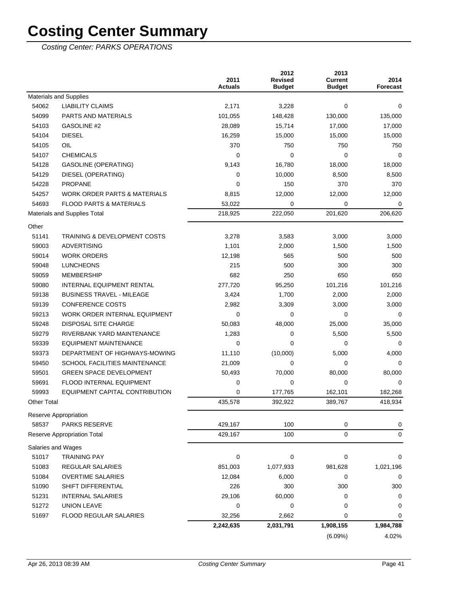|                    |                                         | 2011<br><b>Actuals</b> | 2012<br><b>Revised</b><br><b>Budget</b> | 2013<br><b>Current</b><br><b>Budget</b> | 2014<br><b>Forecast</b> |
|--------------------|-----------------------------------------|------------------------|-----------------------------------------|-----------------------------------------|-------------------------|
|                    | Materials and Supplies                  |                        |                                         |                                         |                         |
| 54062              | <b>LIABILITY CLAIMS</b>                 | 2,171                  | 3,228                                   | 0                                       | 0                       |
| 54099              | PARTS AND MATERIALS                     | 101,055                | 148,428                                 | 130,000                                 | 135,000                 |
| 54103              | GASOLINE #2                             | 28,089                 | 15,714                                  | 17,000                                  | 17,000                  |
| 54104              | <b>DIESEL</b>                           | 16,259                 | 15,000                                  | 15,000                                  | 15,000                  |
| 54105              | OIL                                     | 370                    | 750                                     | 750                                     | 750                     |
| 54107              | <b>CHEMICALS</b>                        | 0                      | 0                                       | 0                                       | 0                       |
| 54128              | <b>GASOLINE (OPERATING)</b>             | 9,143                  | 16,780                                  | 18,000                                  | 18,000                  |
| 54129              | DIESEL (OPERATING)                      | 0                      | 10,000                                  | 8,500                                   | 8,500                   |
| 54228              | <b>PROPANE</b>                          | 0                      | 150                                     | 370                                     | 370                     |
| 54257              | <b>WORK ORDER PARTS &amp; MATERIALS</b> | 8,815                  | 12,000                                  | 12,000                                  | 12,000                  |
| 54693              | <b>FLOOD PARTS &amp; MATERIALS</b>      | 53,022                 | 0                                       | 0                                       | 0                       |
|                    | Materials and Supplies Total            | 218,925                | 222,050                                 | 201,620                                 | 206,620                 |
| Other              |                                         |                        |                                         |                                         |                         |
| 51141              | <b>TRAINING &amp; DEVELOPMENT COSTS</b> | 3,278                  | 3,583                                   | 3.000                                   | 3,000                   |
| 59003              | <b>ADVERTISING</b>                      | 1,101                  | 2,000                                   | 1,500                                   | 1,500                   |
| 59014              | <b>WORK ORDERS</b>                      | 12,198                 | 565                                     | 500                                     | 500                     |
| 59048              | <b>LUNCHEONS</b>                        | 215                    | 500                                     | 300                                     | 300                     |
| 59059              | <b>MEMBERSHIP</b>                       | 682                    | 250                                     | 650                                     | 650                     |
| 59080              | <b>INTERNAL EQUIPMENT RENTAL</b>        | 277,720                | 95,250                                  | 101,216                                 | 101,216                 |
| 59138              | <b>BUSINESS TRAVEL - MILEAGE</b>        | 3,424                  | 1,700                                   | 2,000                                   | 2,000                   |
| 59139              | <b>CONFERENCE COSTS</b>                 | 2,982                  | 3,309                                   | 3,000                                   | 3,000                   |
| 59213              | WORK ORDER INTERNAL EQUIPMENT           | 0                      | 0                                       | 0                                       | 0                       |
| 59248              | <b>DISPOSAL SITE CHARGE</b>             | 50,083                 | 48,000                                  | 25,000                                  | 35,000                  |
| 59279              | RIVERBANK YARD MAINTENANCE              | 1,283                  | 0                                       | 5,500                                   | 5,500                   |
| 59339              | EQUIPMENT MAINTENANCE                   | 0                      | $\mathbf 0$                             | 0                                       | 0                       |
| 59373              | DEPARTMENT OF HIGHWAYS-MOWING           | 11,110                 | (10,000)                                | 5,000                                   | 4,000                   |
| 59450              | <b>SCHOOL FACILITIES MAINTENANCE</b>    | 21,009                 | 0                                       | 0                                       | 0                       |
| 59501              | <b>GREEN SPACE DEVELOPMENT</b>          | 50,493                 | 70,000                                  | 80,000                                  | 80,000                  |
| 59691              | <b>FLOOD INTERNAL EQUIPMENT</b>         | 0                      | $\mathbf 0$                             | 0                                       | $\Omega$                |
| 59993              | EQUIPMENT CAPITAL CONTRIBUTION          | 0                      | 177,765                                 | 162,101                                 | 182,268                 |
| <b>Other Total</b> |                                         | 435,578                | 392,922                                 | 389,767                                 | 418,934                 |
|                    | Reserve Appropriation                   |                        |                                         |                                         |                         |
| 58537              | PARKS RESERVE                           | 429,167                | 100                                     | 0                                       | 0                       |
|                    | <b>Reserve Appropriation Total</b>      | 429,167                | 100                                     | 0                                       | 0                       |
|                    | Salaries and Wages                      |                        |                                         |                                         |                         |
| 51017              | <b>TRAINING PAY</b>                     | 0                      | $\mathbf 0$                             | 0                                       | 0                       |
| 51083              | <b>REGULAR SALARIES</b>                 | 851,003                | 1,077,933                               | 981,628                                 | 1,021,196               |
| 51084              | <b>OVERTIME SALARIES</b>                | 12,084                 | 6,000                                   | 0                                       | 0                       |
| 51090              | SHIFT DIFFERENTIAL                      | 226                    | 300                                     | 300                                     | 300                     |
| 51231              | <b>INTERNAL SALARIES</b>                | 29,106                 | 60,000                                  | 0                                       | 0                       |
| 51272              | UNION LEAVE                             | 0                      | 0                                       | 0                                       | 0                       |
| 51697              | FLOOD REGULAR SALARIES                  | 32,256                 | 2,662                                   | 0                                       | 0                       |
|                    |                                         | 2,242,635              | 2,031,791                               | 1,908,155                               | 1,984,788               |
|                    |                                         |                        |                                         | (6.09%)                                 | 4.02%                   |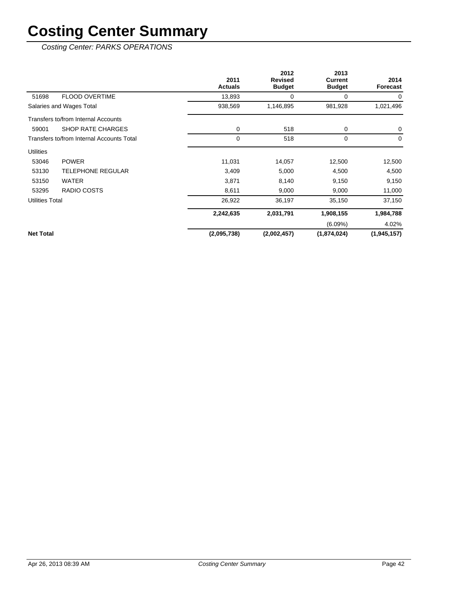|                        |                                            | 2011<br><b>Actuals</b> | 2012<br><b>Revised</b><br><b>Budget</b> | 2013<br><b>Current</b><br><b>Budget</b> | 2014<br>Forecast |
|------------------------|--------------------------------------------|------------------------|-----------------------------------------|-----------------------------------------|------------------|
| 51698                  | <b>FLOOD OVERTIME</b>                      | 13,893                 | 0                                       | 0                                       | 0                |
|                        | Salaries and Wages Total                   | 938,569                | 1,146,895                               | 981,928                                 | 1,021,496        |
|                        | <b>Transfers to/from Internal Accounts</b> |                        |                                         |                                         |                  |
| 59001                  | <b>SHOP RATE CHARGES</b>                   | 0                      | 518                                     | 0                                       | 0                |
|                        | Transfers to/from Internal Accounts Total  | 0                      | 518                                     | $\mathbf 0$                             | $\Omega$         |
| <b>Utilities</b>       |                                            |                        |                                         |                                         |                  |
| 53046                  | <b>POWER</b>                               | 11,031                 | 14,057                                  | 12,500                                  | 12,500           |
| 53130                  | <b>TELEPHONE REGULAR</b>                   | 3,409                  | 5,000                                   | 4,500                                   | 4,500            |
| 53150                  | <b>WATER</b>                               | 3,871                  | 8,140                                   | 9,150                                   | 9,150            |
| 53295                  | RADIO COSTS                                | 8,611                  | 9,000                                   | 9,000                                   | 11,000           |
| <b>Utilities Total</b> |                                            | 26,922                 | 36,197                                  | 35,150                                  | 37,150           |
|                        |                                            | 2,242,635              | 2,031,791                               | 1,908,155                               | 1,984,788        |
|                        |                                            |                        |                                         | $(6.09\%)$                              | 4.02%            |
| <b>Net Total</b>       |                                            | (2,095,738)            | (2,002,457)                             | (1,874,024)                             | (1,945,157)      |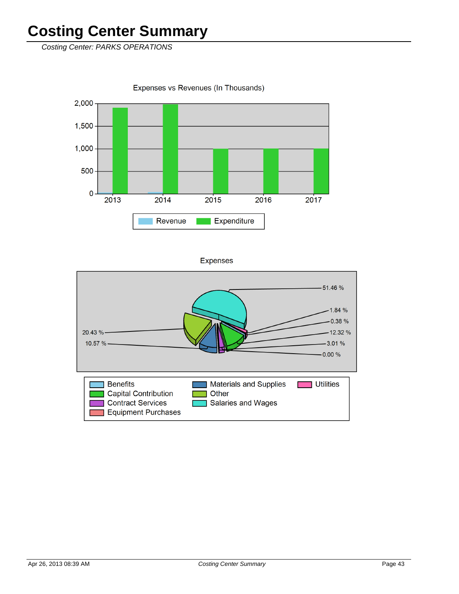Costing Center: PARKS OPERATIONS

Expenses vs Revenues (In Thousands)



**Expenses** 

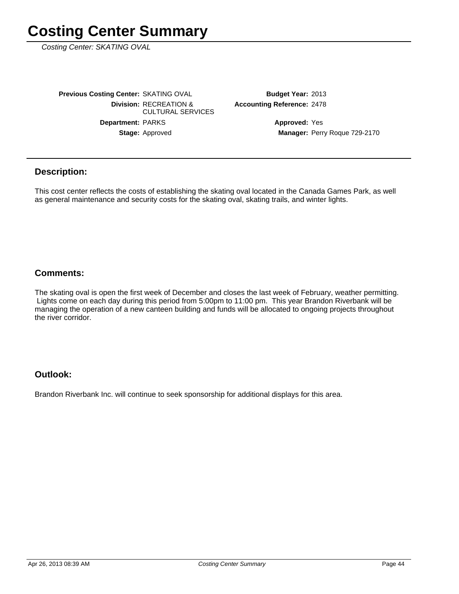Costing Center: SKATING OVAL

Stage: Approved Department: PARKS **Division: RECREATION &** CULTURAL SERVICES **Previous Costing Center: SKATING OVAL** 

**Accounting Reference: 2478** Budget Year: 2013

> Manager: Perry Roque 729-2170 **Approved: Yes**

#### **Description:**

This cost center reflects the costs of establishing the skating oval located in the Canada Games Park, as well as general maintenance and security costs for the skating oval, skating trails, and winter lights.

#### **Comments:**

The skating oval is open the first week of December and closes the last week of February, weather permitting. Lights come on each day during this period from 5:00pm to 11:00 pm. This year Brandon Riverbank will be managing the operation of a new canteen building and funds will be allocated to ongoing projects throughout the river corridor.

#### **Outlook:**

Brandon Riverbank Inc. will continue to seek sponsorship for additional displays for this area.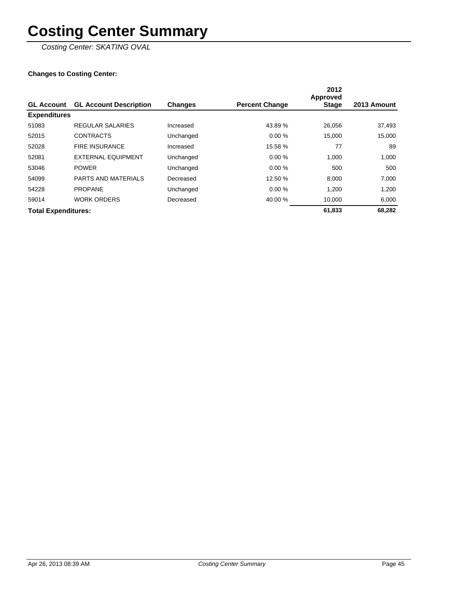Costing Center: SKATING OVAL

|                            |                               |                |                       | 2012<br>Approved |             |
|----------------------------|-------------------------------|----------------|-----------------------|------------------|-------------|
| <b>GL Account</b>          | <b>GL Account Description</b> | <b>Changes</b> | <b>Percent Change</b> | <b>Stage</b>     | 2013 Amount |
| <b>Expenditures</b>        |                               |                |                       |                  |             |
| 51083                      | <b>REGULAR SALARIES</b>       | Increased      | 43.89 %               | 26,056           | 37,493      |
| 52015                      | <b>CONTRACTS</b>              | Unchanged      | 0.00%                 | 15,000           | 15,000      |
| 52028                      | <b>FIRE INSURANCE</b>         | Increased      | 15.58 %               | 77               | 89          |
| 52081                      | <b>EXTERNAL EQUIPMENT</b>     | Unchanged      | 0.00%                 | 1,000            | 1,000       |
| 53046                      | <b>POWER</b>                  | Unchanged      | 0.00%                 | 500              | 500         |
| 54099                      | <b>PARTS AND MATERIALS</b>    | Decreased      | 12.50 %               | 8.000            | 7,000       |
| 54228                      | <b>PROPANE</b>                | Unchanged      | 0.00%                 | 1,200            | 1,200       |
| 59014                      | <b>WORK ORDERS</b>            | Decreased      | 40.00 %               | 10,000           | 6,000       |
| <b>Total Expenditures:</b> |                               |                |                       | 61,833           | 68.282      |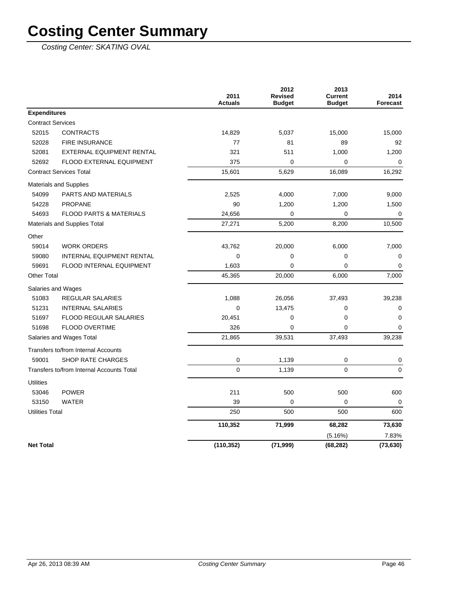Costing Center: SKATING OVAL

|                                           |                                     | 2011<br><b>Actuals</b> | 2012<br><b>Revised</b><br><b>Budget</b> | 2013<br><b>Current</b><br><b>Budget</b> | 2014<br><b>Forecast</b> |
|-------------------------------------------|-------------------------------------|------------------------|-----------------------------------------|-----------------------------------------|-------------------------|
| <b>Expenditures</b>                       |                                     |                        |                                         |                                         |                         |
| <b>Contract Services</b>                  |                                     |                        |                                         |                                         |                         |
| 52015                                     | <b>CONTRACTS</b>                    | 14,829                 | 5,037                                   | 15,000                                  | 15,000                  |
| 52028                                     | <b>FIRE INSURANCE</b>               | 77                     | 81                                      | 89                                      | 92                      |
| 52081                                     | EXTERNAL EQUIPMENT RENTAL           | 321                    | 511                                     | 1,000                                   | 1,200                   |
| 52692                                     | FLOOD EXTERNAL EQUIPMENT            | 375                    | 0                                       | 0                                       | 0                       |
| <b>Contract Services Total</b>            |                                     | 15,601                 | 5,629                                   | 16,089                                  | 16,292                  |
|                                           | Materials and Supplies              |                        |                                         |                                         |                         |
| 54099                                     | <b>PARTS AND MATERIALS</b>          | 2,525                  | 4,000                                   | 7,000                                   | 9,000                   |
| 54228                                     | <b>PROPANE</b>                      | 90                     | 1,200                                   | 1,200                                   | 1,500                   |
| 54693                                     | <b>FLOOD PARTS &amp; MATERIALS</b>  | 24,656                 | 0                                       | 0                                       | 0                       |
| Materials and Supplies Total              |                                     | 27,271                 | 5,200                                   | 8,200                                   | 10,500                  |
| Other                                     |                                     |                        |                                         |                                         |                         |
| 59014                                     | <b>WORK ORDERS</b>                  | 43,762                 | 20,000                                  | 6,000                                   | 7,000                   |
| 59080                                     | INTERNAL EQUIPMENT RENTAL           | $\mathbf 0$            | $\mathbf 0$                             | 0                                       | $\mathbf 0$             |
| 59691                                     | FLOOD INTERNAL EQUIPMENT            | 1,603                  | $\mathbf 0$                             | 0                                       | $\mathbf 0$             |
| <b>Other Total</b>                        |                                     | 45,365                 | 20,000                                  | 6,000                                   | 7,000                   |
|                                           | Salaries and Wages                  |                        |                                         |                                         |                         |
| 51083                                     | <b>REGULAR SALARIES</b>             | 1,088                  | 26,056                                  | 37,493                                  | 39,238                  |
| 51231                                     | <b>INTERNAL SALARIES</b>            | 0                      | 13,475                                  | 0                                       | $\pmb{0}$               |
| 51697                                     | <b>FLOOD REGULAR SALARIES</b>       | 20,451                 | 0                                       | 0                                       | $\mathbf 0$             |
| 51698                                     | FLOOD OVERTIME                      | 326                    | $\mathbf 0$                             | 0                                       | $\mathbf 0$             |
| Salaries and Wages Total                  |                                     | 21,865                 | 39,531                                  | 37,493                                  | 39,238                  |
|                                           | Transfers to/from Internal Accounts |                        |                                         |                                         |                         |
| 59001                                     | <b>SHOP RATE CHARGES</b>            | 0                      | 1,139                                   | 0                                       | 0                       |
| Transfers to/from Internal Accounts Total |                                     | 0                      | 1,139                                   | 0                                       | $\mathbf 0$             |
| <b>Utilities</b>                          |                                     |                        |                                         |                                         |                         |
| 53046                                     | <b>POWER</b>                        | 211                    | 500                                     | 500                                     | 600                     |
| 53150                                     | <b>WATER</b>                        | 39                     | $\mathbf 0$                             | 0                                       | 0                       |
| <b>Utilities Total</b>                    |                                     | 250                    | 500                                     | 500                                     | 600                     |
|                                           |                                     | 110,352                | 71,999                                  | 68,282                                  | 73,630                  |
|                                           |                                     |                        |                                         | (5.16%)                                 | 7.83%                   |
| <b>Net Total</b>                          |                                     | (110, 352)             | (71, 999)                               | (68, 282)                               | (73, 630)               |